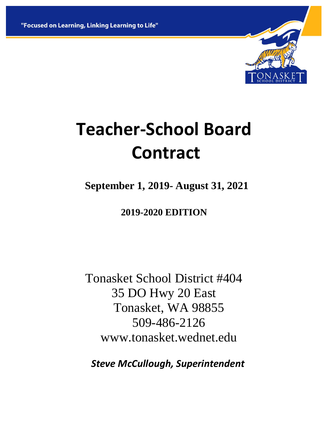"Focused on Learning, Linking Learning to Life"



# **Teacher-School Board Contract**

 **September 1, 2019- August 31, 2021**

**2019-2020 EDITION**

Tonasket School District #404 35 DO Hwy 20 East Tonasket, WA 98855 509-486-2126 www.tonasket.wednet.edu

 *Steve McCullough, Superintendent*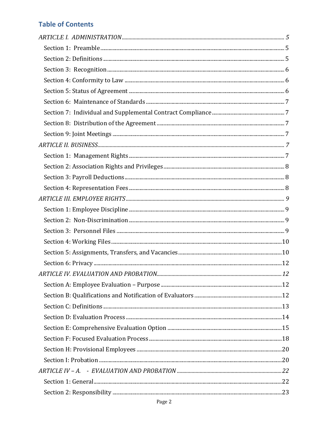# **Table of Contents**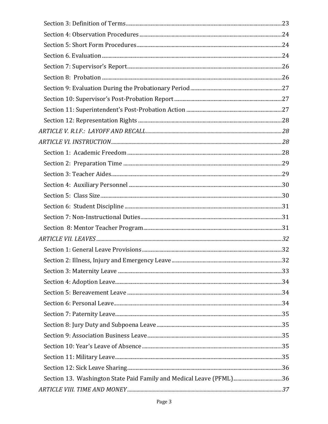| Section 13. Washington State Paid Family and Medical Leave (PFML)36 |  |
|---------------------------------------------------------------------|--|
|                                                                     |  |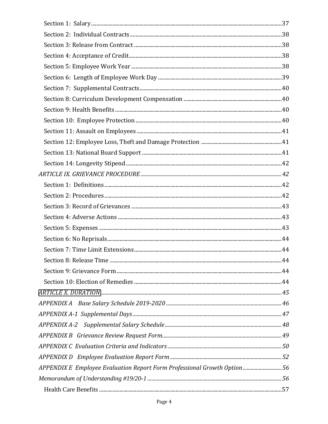| APPENDIX E Employee Evaluation Report Form Professional Growth Option56 |  |
|-------------------------------------------------------------------------|--|
|                                                                         |  |
|                                                                         |  |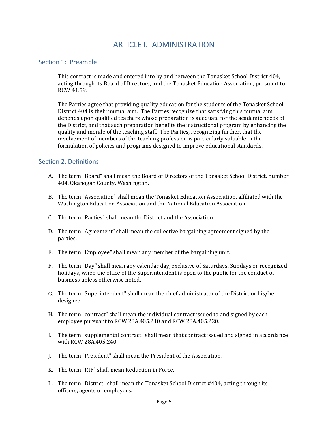# ARTICLE I. ADMINISTRATION

#### <span id="page-4-1"></span><span id="page-4-0"></span>Section 1: Preamble

This contract is made and entered into by and between the Tonasket School District 404, acting through its Board of Directors, and the Tonasket Education Association, pursuant to RCW 41.59.

The Parties agree that providing quality education for the students of the Tonasket School District 404 is their mutual aim. The Parties recognize that satisfying this mutual aim depends upon qualified teachers whose preparation is adequate for the academic needs of the District, and that such preparation benefits the instructional program by enhancing the quality and morale of the teaching staff. The Parties, recognizing further, that the involvement of members of the teaching profession is particularly valuable in the formulation of policies and programs designed to improve educational standards.

### <span id="page-4-2"></span>Section 2: Definitions

- A. The term "Board" shall mean the Board of Directors of the Tonasket School District, number 404, Okanogan County, Washington.
- B. The term "Association" shall mean the Tonasket Education Association, affiliated with the Washington Education Association and the National Education Association.
- C. The term "Parties" shall mean the District and the Association.
- D. The term "Agreement" shall mean the collective bargaining agreement signed by the parties.
- E. The term "Employee" shall mean any member of the bargaining unit.
- F. The term "Day" shall mean any calendar day, exclusive of Saturdays, Sundays or recognized holidays, when the office of the Superintendent is open to the public for the conduct of business unless otherwise noted.
- G. The term "Superintendent" shall mean the chief administrator of the District or his/her designee.
- H. The term "contract" shall mean the individual contract issued to and signed by each employee pursuant to RCW 28A.405.210 and RCW 28A.405.220.
- I. The term "supplemental contract" shall mean that contract issued and signed in accordance with RCW 28A.405.240.
- J. The term "President" shall mean the President of the Association.
- K. The term "RIF" shall mean Reduction in Force.
- L. The term "District" shall mean the Tonasket School District #404, acting through its officers, agents or employees.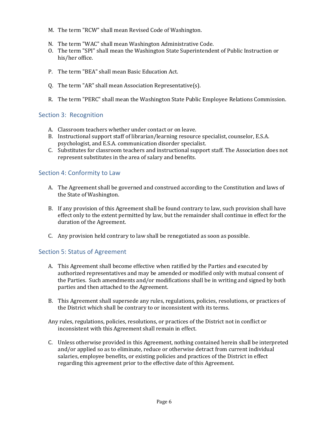- M. The term "RCW" shall mean Revised Code of Washington.
- N. The term "WAC" shall mean Washington Administrative Code.
- O. The term "SPI" shall mean the Washington State Superintendent of Public Instruction or his/her office.
- P. The term "BEA" shall mean Basic Education Act.
- Q. The term "AR" shall mean Association Representative(s).
- R. The term "PERC" shall mean the Washington State Public Employee Relations Commission.

# <span id="page-5-0"></span>Section 3: Recognition

- A. Classroom teachers whether under contact or on leave.
- B. Instructional support staff of librarian/learning resource specialist, counselor, E.S.A. psychologist, and E.S.A. communication disorder specialist.
- C. Substitutes for classroom teachers and instructional support staff. The Association does not represent substitutes in the area of salary and benefits.

# <span id="page-5-1"></span>Section 4: Conformity to Law

- A. The Agreement shall be governed and construed according to the Constitution and laws of the State of Washington.
- B. If any provision of this Agreement shall be found contrary to law, such provision shall have effect only to the extent permitted by law, but the remainder shall continue in effect for the duration of the Agreement.
- C. Any provision held contrary to law shall be renegotiated as soon as possible.

# <span id="page-5-2"></span>Section 5: Status of Agreement

- A. This Agreement shall become effective when ratified by the Parties and executed by authorized representatives and may be amended or modified only with mutual consent of the Parties. Such amendments and/or modifications shall be in writing and signed by both parties and then attached to the Agreement.
- B. This Agreement shall supersede any rules, regulations, policies, resolutions, or practices of the District which shall be contrary to or inconsistent with its terms.

Any rules, regulations, policies, resolutions, or practices of the District not in conflict or inconsistent with this Agreement shall remain in effect.

C. Unless otherwise provided in this Agreement, nothing contained herein shall be interpreted and/or applied so as to eliminate, reduce or otherwise detract from current individual salaries, employee benefits, or existing policies and practices of the District in effect regarding this agreement prior to the effective date of this Agreement.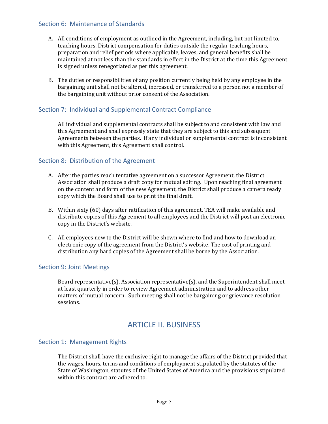#### <span id="page-6-0"></span>Section 6: Maintenance of Standards

- A. All conditions of employment as outlined in the Agreement, including, but not limited to, teaching hours, District compensation for duties outside the regular teaching hours, preparation and relief periods where applicable, leaves, and general benefits shall be maintained at not less than the standards in effect in the District at the time this Agreement is signed unless renegotiated as per this agreement.
- B. The duties or responsibilities of any position currently being held by any employee in the bargaining unit shall not be altered, increased, or transferred to a person not a member of the bargaining unit without prior consent of the Association.

## <span id="page-6-1"></span>Section 7: Individual and Supplemental Contract Compliance

All individual and supplemental contracts shall be subject to and consistent with law and this Agreement and shall expressly state that they are subject to this and subsequent Agreements between the parties. If any individual or supplemental contract is inconsistent with this Agreement, this Agreement shall control.

#### <span id="page-6-2"></span>Section 8: Distribution of the Agreement

- A. After the parties reach tentative agreement on a successor Agreement, the District Association shall produce a draft copy for mutual editing. Upon reaching final agreement on the content and form of the new Agreement, the District shall produce a camera ready copy which the Board shall use to print the final draft.
- B. Within sixty (60) days after ratification of this agreement, TEA will make available and distribute copies of this Agreement to all employees and the District will post an electronic copy in the District's website.
- C. All employees new to the District will be shown where to find and how to download an electronic copy of the agreement from the District's website. The cost of printing and distribution any hard copies of the Agreement shall be borne by the Association.

#### <span id="page-6-3"></span>Section 9: Joint Meetings

Board representative(s), Association representative(s), and the Superintendent shall meet at least quarterly in order to review Agreement administration and to address other matters of mutual concern. Such meeting shall not be bargaining or grievance resolution sessions.

# ARTICLE II. BUSINESS

#### <span id="page-6-5"></span><span id="page-6-4"></span>Section 1: Management Rights

The District shall have the exclusive right to manage the affairs of the District provided that the wages, hours, terms and conditions of employment stipulated by the statutes of the State of Washington, statutes of the United States of America and the provisions stipulated within this contract are adhered to.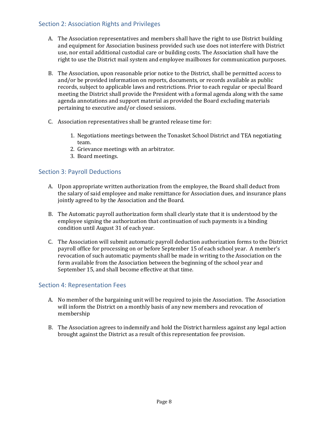# <span id="page-7-0"></span>Section 2: Association Rights and Privileges

- A. The Association representatives and members shall have the right to use District building and equipment for Association business provided such use does not interfere with District use, nor entail additional custodial care or building costs. The Association shall have the right to use the District mail system and employee mailboxes for communication purposes.
- B. The Association, upon reasonable prior notice to the District, shall be permitted access to and/or be provided information on reports, documents, or records available as public records, subject to applicable laws and restrictions. Prior to each regular or special Board meeting the District shall provide the President with a formal agenda along with the same agenda annotations and support material as provided the Board excluding materials pertaining to executive and/or closed sessions.
- C. Association representatives shall be granted release time for:
	- 1. Negotiations meetings between the Tonasket School District and TEA negotiating team.
	- 2. Grievance meetings with an arbitrator.
	- 3. Board meetings.

# <span id="page-7-1"></span>Section 3: Payroll Deductions

- A. Upon appropriate written authorization from the employee, the Board shall deduct from the salary of said employee and make remittance for Association dues, and insurance plans jointly agreed to by the Association and the Board.
- B. The Automatic payroll authorization form shall clearly state that it is understood by the employee signing the authorization that continuation of such payments is a binding condition until August 31 of each year.
- C. The Association will submit automatic payroll deduction authorization forms to the District payroll office for processing on or before September 15 of each school year. A member's revocation of such automatic payments shall be made in writing to the Association on the form available from the Association between the beginning of the school year and September 15, and shall become effective at that time.

# <span id="page-7-2"></span>Section 4: Representation Fees

- A. No member of the bargaining unit will be required to join the Association. The Association will inform the District on a monthly basis of any new members and revocation of membership
- B. The Association agrees to indemnify and hold the District harmless against any legal action brought against the District as a result of this representation fee provision.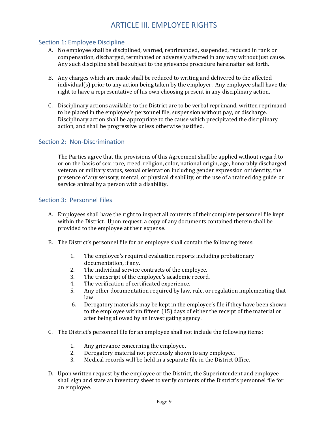# ARTICLE III. EMPLOYEE RIGHTS

#### <span id="page-8-1"></span><span id="page-8-0"></span>Section 1: Employee Discipline

- A. No employee shall be disciplined, warned, reprimanded, suspended, reduced in rank or compensation, discharged, terminated or adversely affected in any way without just cause. Any such discipline shall be subject to the grievance procedure hereinafter set forth.
- B. Any charges which are made shall be reduced to writing and delivered to the affected individual(s) prior to any action being taken by the employer. Any employee shall have the right to have a representative of his own choosing present in any disciplinary action.
- C. Disciplinary actions available to the District are to be verbal reprimand, written reprimand to be placed in the employee's personnel file, suspension without pay, or discharge. Disciplinary action shall be appropriate to the cause which precipitated the disciplinary action, and shall be progressive unless otherwise justified.

### <span id="page-8-2"></span>Section 2: Non-Discrimination

The Parties agree that the provisions of this Agreement shall be applied without regard to or on the basis of sex, race, creed, religion, color, national origin, age, honorably discharged veteran or military status, sexual orientation including gender expression or identity, the presence of any sensory, mental, or physical disability, or the use of a trained dog guide or service animal by a person with a disability.

#### <span id="page-8-3"></span>Section 3: Personnel Files

- A. Employees shall have the right to inspect all contents of their complete personnel file kept within the District. Upon request, a copy of any documents contained therein shall be provided to the employee at their expense.
- B. The District's personnel file for an employee shall contain the following items:
	- 1. The employee's required evaluation reports including probationary documentation, if any.
	- 2. The individual service contracts of the employee.
	- 3. The transcript of the employee's academic record.
	- 4. The verification of certificated experience.
	- 5. Any other documentation required by law, rule, or regulation implementing that law.
	- 6. Derogatory materials may be kept in the employee's file if they have been shown to the employee within fifteen (15) days of either the receipt of the material or after being allowed by an investigating agency.
- C. The District's personnel file for an employee shall not include the following items:
	- 1. Any grievance concerning the employee.
	- 2. Derogatory material not previously shown to any employee.
	- 3. Medical records will be held in a separate file in the District Office.
- D. Upon written request by the employee or the District, the Superintendent and employee shall sign and state an inventory sheet to verify contents of the District's personnel file for an employee.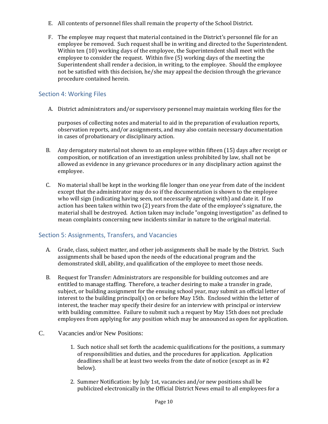- E. All contents of personnel files shall remain the property of the School District.
- F. The employee may request that material contained in the District's personnel file for an employee be removed. Such request shall be in writing and directed to the Superintendent. Within ten (10) working days of the employee, the Superintendent shall meet with the employee to consider the request. Within five (5) working days of the meeting the Superintendent shall render a decision, in writing, to the employee. Should the employee not be satisfied with this decision, he/she may appeal the decision through the grievance procedure contained herein.

# <span id="page-9-0"></span>Section 4: Working Files

A. District administrators and/or supervisory personnel may maintain working files for the

purposes of collecting notes and material to aid in the preparation of evaluation reports, observation reports, and/or assignments, and may also contain necessary documentation in cases of probationary or disciplinary action.

- B. Any derogatory material not shown to an employee within fifteen (15) days after receipt or composition, or notification of an investigation unless prohibited by law, shall not be allowed as evidence in any grievance procedures or in any disciplinary action against the employee.
- C. No material shall be kept in the working file longer than one year from date of the incident except that the administrator may do so if the documentation is shown to the employee who will sign (indicating having seen, not necessarily agreeing with) and date it. If no action has been taken within two (2) years from the date of the employee's signature, the material shall be destroyed. Action taken may include "ongoing investigation" as defined to mean complaints concerning new incidents similar in nature to the original material.

# <span id="page-9-1"></span>Section 5: Assignments, Transfers, and Vacancies

- A. Grade, class, subject matter, and other job assignments shall be made by the District. Such assignments shall be based upon the needs of the educational program and the demonstrated skill, ability, and qualification of the employee to meet those needs.
- B. Request for Transfer: Administrators are responsible for building outcomes and are entitled to manage staffing. Therefore, a teacher desiring to make a transfer in grade, subject, or building assignment for the ensuing school year, may submit an official letter of interest to the building principal(s) on or before May 15th. Enclosed within the letter of interest, the teacher may specify their desire for an interview with principal or interview with building committee. Failure to submit such a request by May 15th does not preclude employees from applying for any position which may be announced as open for application.
- C. Vacancies and/or New Positions:
	- 1. Such notice shall set forth the academic qualifications for the positions, a summary of responsibilities and duties, and the procedures for application. Application deadlines shall be at least two weeks from the date of notice (except as in #2 below).
	- 2. Summer Notification: by July 1st, vacancies and/or new positions shall be publicized electronically in the Official District News email to all employees for a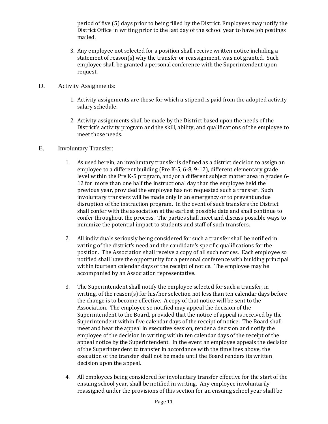period of five (5) days prior to being filled by the District. Employees may notify the District Office in writing prior to the last day of the school year to have job postings mailed.

- 3. Any employee not selected for a position shall receive written notice including a statement of reason(s) why the transfer or reassignment, was not granted. Such employee shall be granted a personal conference with the Superintendent upon request.
- D. Activity Assignments:
	- 1. Activity assignments are those for which a stipend is paid from the adopted activity salary schedule.
	- 2. Activity assignments shall be made by the District based upon the needs of the District's activity program and the skill, ability, and qualifications of the employee to meet those needs.
- E. Involuntary Transfer:
	- 1. As used herein, an involuntary transfer is defined as a district decision to assign an employee to a different building (Pre K-5, 6-8, 9-12), different elementary grade level within the Pre K-5 program, and/or a different subject matter area in grades 6- 12 for more than one half the instructional day than the employee held the previous year, provided the employee has not requested such a transfer. Such involuntary transfers will be made only in an emergency or to prevent undue disruption of the instruction program. In the event of such transfers the District shall confer with the association at the earliest possible date and shall continue to confer throughout the process. The parties shall meet and discuss possible ways to minimize the potential impact to students and staff of such transfers.
	- 2. All individuals seriously being considered for such a transfer shall be notified in writing of the district's need and the candidate's specific qualifications for the position. The Association shall receive a copy of all such notices. Each employee so notified shall have the opportunity for a personal conference with building principal within fourteen calendar days of the receipt of notice. The employee may be accompanied by an Association representative.
	- 3. The Superintendent shall notify the employee selected for such a transfer, in writing, of the reason(s) for his/her selection not less than ten calendar days before the change is to become effective. A copy of that notice will be sent to the Association. The employee so notified may appeal the decision of the Superintendent to the Board, provided that the notice of appeal is received by the Superintendent within five calendar days of the receipt of notice. The Board shall meet and hear the appeal in executive session, render a decision and notify the employee of the decision in writing within ten calendar days of the receipt of the appeal notice by the Superintendent. In the event an employee appeals the decision of the Superintendent to transfer in accordance with the timelines above, the execution of the transfer shall not be made until the Board renders its written decision upon the appeal.
	- 4. All employees being considered for involuntary transfer effective for the start of the ensuing school year, shall be notified in writing. Any employee involuntarily reassigned under the provisions of this section for an ensuing school year shall be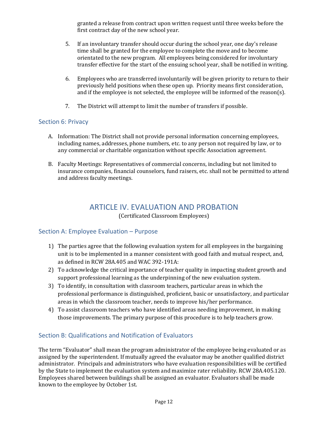granted a release from contract upon written request until three weeks before the first contract day of the new school year.

- 5. If an involuntary transfer should occur during the school year, one day's release time shall be granted for the employee to complete the move and to become orientated to the new program. All employees being considered for involuntary transfer effective for the start of the ensuing school year, shall be notified in writing.
- 6. Employees who are transferred involuntarily will be given priority to return to their previously held positions when these open up. Priority means first consideration, and if the employee is not selected, the employee will be informed of the reason(s).
- 7. The District will attempt to limit the number of transfers if possible.

# <span id="page-11-0"></span>Section 6: Privacy

- A. Information: The District shall not provide personal information concerning employees, including names, addresses, phone numbers, etc. to any person not required by law, or to any commercial or charitable organization without specific Association agreement.
- B. Faculty Meetings: Representatives of commercial concerns, including but not limited to insurance companies, financial counselors, fund raisers, etc. shall not be permitted to attend and address faculty meetings.

# ARTICLE IV. EVALUATION AND PROBATION

(Certificated Classroom Employees)

# <span id="page-11-2"></span><span id="page-11-1"></span>Section A: Employee Evaluation – Purpose

- 1) The parties agree that the following evaluation system for all employees in the bargaining unit is to be implemented in a manner consistent with good faith and mutual respect, and, as defined in RCW 28A.405 and WAC 392-191A:
- 2) To acknowledge the critical importance of teacher quality in impacting student growth and support professional learning as the underpinning of the new evaluation system.
- 3) To identify, in consultation with classroom teachers, particular areas in which the professional performance is distinguished, proficient, basic or unsatisfactory, and particular areas in which the classroom teacher, needs to improve his/her performance.
- 4) To assist classroom teachers who have identified areas needing improvement, in making those improvements. The primary purpose of this procedure is to help teachers grow.

# <span id="page-11-3"></span>Section B: Qualifications and Notification of Evaluators

The term "Evaluator" shall mean the program administrator of the employee being evaluated or as assigned by the superintendent. If mutually agreed the evaluator may be another qualified district administrator. Principals and administrators who have evaluation responsibilities will be certified by the State to implement the evaluation system and maximize rater reliability. RCW 28A.405.120. Employees shared between buildings shall be assigned an evaluator. Evaluators shall be made known to the employee by October 1st.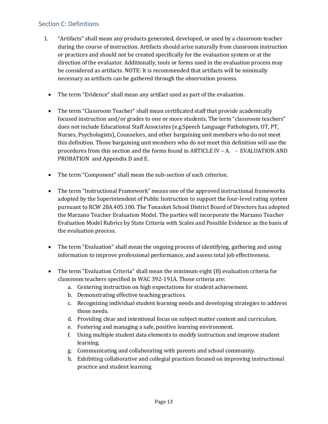# <span id="page-12-0"></span>Section C: Definitions

- 1. "Artifacts" shall mean any products generated, developed, or used by a classroom teacher during the course of instruction. Artifacts should arise naturally from classroom instruction or practices and should not be created specifically for the evaluation system or at the direction of the evaluator. Additionally, tools or forms used in the evaluation process may be considered as artifacts. NOTE: It is recommended that artifacts will be minimally necessary as artifacts can be gathered through the observation process.
	- The term "Evidence" shall mean any artifact used as part of the evaluation.
	- The term "Classroom Teacher" shall mean certificated staff that provide academically focused instruction and/or grades to one or more students. The term "classroom teachers" does not include Educational Staff Associates (e.g.Speech Language Pathologists, OT, PT, Nurses, Psychologists), Counselors, and other bargaining unit members who do not meet this definition. Those bargaining unit members who do not meet this definition will use the procedures from this section and the forms found in ARTICLE IV – A. - EVALUATION AND PROBATION and Appendix D and E.
	- The term "Component" shall mean the sub-section of each criterion.
	- The term "Instructional Framework" means one of the approved instructional frameworks adopted by the Superintendent of Public Instruction to support the four-level rating system pursuant to RCW 28A.405.100. The Tonasket School District Board of Directors has adopted the Marzano Teacher Evaluation Model. The parties will incorporate the Marzano Teacher Evaluation Model Rubrics by State Criteria with Scales and Possible Evidence as the basis of the evaluation process.
	- The term "Evaluation" shall mean the ongoing process of identifying, gathering and using information to improve professional performance, and assess total job effectiveness.
	- The term "Evaluation Criteria" shall mean the minimum eight (8) evaluation criteria for classroom teachers specified in WAC 392-191A. Those criteria are:
		- a. Centering instruction on high expectations for student achievement.
		- b. Demonstrating effective teaching practices.
		- c. Recognizing individual student learning needs and developing strategies to address those needs.
		- d. Providing clear and intentional focus on subject matter content and curriculum.
		- e. Fostering and managing a safe, positive learning environment.
		- f. Using multiple student data elements to modify instruction and improve student learning.
		- g. Communicating and collaborating with parents and school community.
		- h. Exhibiting collaborative and collegial practices focused on improving instructional practice and student learning.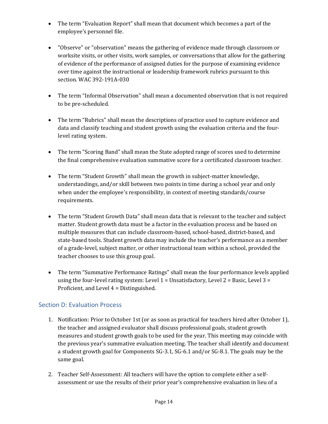- The term "Evaluation Report" shall mean that document which becomes a part of the employee's personnel file.
- "Observe" or "observation" means the gathering of evidence made through classroom or worksite visits, or other visits, work samples, or conversations that allow for the gathering of evidence of the performance of assigned duties for the purpose of examining evidence over time against the instructional or leadership framework rubrics pursuant to this section. WAC 392-191A-030
- The term "Informal Observation" shall mean a documented observation that is not required to be pre-scheduled.
- The term "Rubrics" shall mean the descriptions of practice used to capture evidence and data and classify teaching and student growth using the evaluation criteria and the fourlevel rating system.
- The term "Scoring Band" shall mean the State adopted range of scores used to determine the final comprehensive evaluation summative score for a certificated classroom teacher.
- The term "Student Growth" shall mean the growth in subject-matter knowledge, understandings, and/or skill between two points in time during a school year and only when under the employee's responsibility, in context of meeting standards/course requirements.
- The term "Student Growth Data" shall mean data that is relevant to the teacher and subject matter. Student growth data must be a factor in the evaluation process and be based on multiple measures that can include classroom-based, school-based, district-based, and state-based tools. Student growth data may include the teacher's performance as a member of a grade-level, subject matter, or other instructional team within a school, provided the teacher chooses to use this group goal.
- The term "Summative Performance Ratings" shall mean the four performance levels applied using the four-level rating system: Level  $1 =$  Unsatisfactory, Level  $2 =$  Basic, Level  $3 =$ Proficient, and Level 4 = Distinguished.

# <span id="page-13-0"></span>Section D: Evaluation Process

- 1. Notification: Prior to October 1st (or as soon as practical for teachers hired after October 1), the teacher and assigned evaluator shall discuss professional goals, student growth measures and student growth goals to be used for the year. This meeting may coincide with the previous year's summative evaluation meeting. The teacher shall identify and document a student growth goal for Components SG-3.1, SG-6.1 and/or SG-8.1. The goals may be the same goal.
- 2. Teacher Self-Assessment: All teachers will have the option to complete either a selfassessment or use the results of their prior year's comprehensive evaluation in lieu of a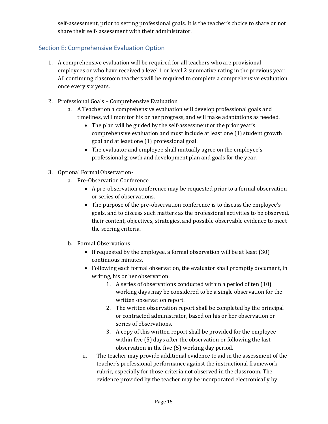self-assessment, prior to setting professional goals. It is the teacher's choice to share or not share their self- assessment with their administrator.

# Section E: Comprehensive Evaluation Option

- 1. A comprehensive evaluation will be required for all teachers who are provisional employees or who have received a level 1 or level 2 summative rating in the previous year. All continuing classroom teachers will be required to complete a comprehensive evaluation once every six years.
- 2. Professional Goals Comprehensive Evaluation
	- a. A Teacher on a comprehensive evaluation will develop professional goals and timelines, will monitor his or her progress, and will make adaptations as needed.
		- The plan will be guided by the self-assessment or the prior year's comprehensive evaluation and must include at least one (1) student growth goal and at least one (1) professional goal.
		- The evaluator and employee shall mutually agree on the employee's professional growth and development plan and goals for the year.
- 3. Optional Formal Observation
	- a. Pre-Observation Conference
		- A pre-observation conference may be requested prior to a formal observation or series of observations.
		- The purpose of the pre-observation conference is to discuss the employee's goals, and to discuss such matters as the professional activities to be observed, their content, objectives, strategies, and possible observable evidence to meet the scoring criteria.
	- b. Formal Observations
		- If requested by the employee, a formal observation will be at least (30) continuous minutes.
		- Following each formal observation, the evaluator shall promptly document, in writing, his or her observation.
			- 1. A series of observations conducted within a period of ten (10) working days may be considered to be a single observation for the written observation report.
			- 2. The written observation report shall be completed by the principal or contracted administrator, based on his or her observation or series of observations.
			- 3. A copy of this written report shall be provided for the employee within five (5) days after the observation or following the last observation in the five (5) working day period.
		- ii. The teacher may provide additional evidence to aid in the assessment of the teacher's professional performance against the instructional framework rubric, especially for those criteria not observed in the classroom. The evidence provided by the teacher may be incorporated electronically by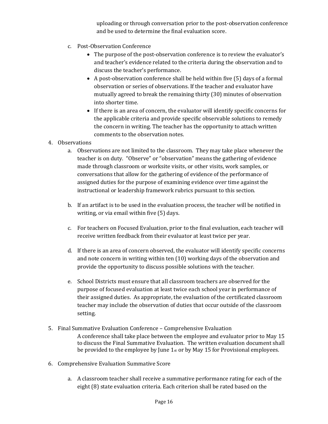uploading or through conversation prior to the post-observation conference and be used to determine the final evaluation score.

- c. Post-Observation Conference
	- The purpose of the post-observation conference is to review the evaluator's and teacher's evidence related to the criteria during the observation and to discuss the teacher's performance.
	- A post-observation conference shall be held within five (5) days of a formal observation or series of observations. If the teacher and evaluator have mutually agreed to break the remaining thirty (30) minutes of observation into shorter time.
	- If there is an area of concern, the evaluator will identify specific concerns for the applicable criteria and provide specific observable solutions to remedy the concern in writing. The teacher has the opportunity to attach written comments to the observation notes.
- 4. Observations
	- a. Observations are not limited to the classroom. They may take place whenever the teacher is on duty. "Observe" or "observation" means the gathering of evidence made through classroom or worksite visits, or other visits, work samples, or conversations that allow for the gathering of evidence of the performance of assigned duties for the purpose of examining evidence over time against the instructional or leadership framework rubrics pursuant to this section.
	- b. If an artifact is to be used in the evaluation process, the teacher will be notified in writing, or via email within five (5) days.
	- c. For teachers on Focused Evaluation, prior to the final evaluation, each teacher will receive written feedback from their evaluator at least twice per year.
	- d. If there is an area of concern observed, the evaluator will identify specific concerns and note concern in writing within ten (10) working days of the observation and provide the opportunity to discuss possible solutions with the teacher.
	- e. School Districts must ensure that all classroom teachers are observed for the purpose of focused evaluation at least twice each school year in performance of their assigned duties. As appropriate, the evaluation of the certificated classroom teacher may include the observation of duties that occur outside of the classroom setting.
- 5. Final Summative Evaluation Conference Comprehensive Evaluation A conference shall take place between the employee and evaluator prior to May 15 to discuss the Final Summative Evaluation. The written evaluation document shall be provided to the employee by June 1st or by May 15 for Provisional employees.
- 6. Comprehensive Evaluation Summative Score
	- a. A classroom teacher shall receive a summative performance rating for each of the eight (8) state evaluation criteria. Each criterion shall be rated based on the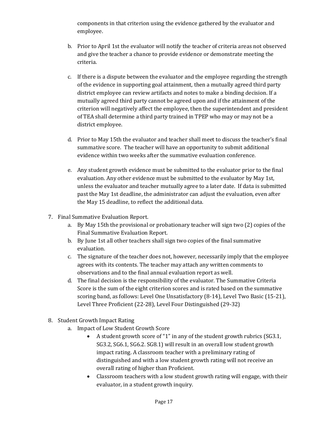components in that criterion using the evidence gathered by the evaluator and employee.

- b. Prior to April 1st the evaluator will notify the teacher of criteria areas not observed and give the teacher a chance to provide evidence or demonstrate meeting the criteria.
- c. If there is a dispute between the evaluator and the employee regarding the strength of the evidence in supporting goal attainment, then a mutually agreed third party district employee can review artifacts and notes to make a binding decision. If a mutually agreed third party cannot be agreed upon and if the attainment of the criterion will negatively affect the employee, then the superintendent and president of TEA shall determine a third party trained in TPEP who may or may not be a district employee.
- d. Prior to May 15th the evaluator and teacher shall meet to discuss the teacher's final summative score. The teacher will have an opportunity to submit additional evidence within two weeks after the summative evaluation conference.
- e. Any student growth evidence must be submitted to the evaluator prior to the final evaluation. Any other evidence must be submitted to the evaluator by May 1st, unless the evaluator and teacher mutually agree to a later date. If data is submitted past the May 1st deadline, the administrator can adjust the evaluation, even after the May 15 deadline, to reflect the additional data.
- 7. Final Summative Evaluation Report.
	- a. By May 15th the provisional or probationary teacher will sign two (2) copies of the Final Summative Evaluation Report.
	- b. By June 1st all other teachers shall sign two copies of the final summative evaluation.
	- c. The signature of the teacher does not, however, necessarily imply that the employee agrees with its contents. The teacher may attach any written comments to observations and to the final annual evaluation report as well.
	- d. The final decision is the responsibility of the evaluator. The Summative Criteria Score is the sum of the eight criterion scores and is rated based on the summative scoring band, as follows: Level One Unsatisfactory (8-14), Level Two Basic (15-21), Level Three Proficient (22-28), Level Four Distinguished (29-32)
- 8. Student Growth Impact Rating
	- a. Impact of Low Student Growth Score
		- A student growth score of "1" in any of the student growth rubrics (SG3.1, SG3.2, SG6.1, SG6.2. SG8.1) will result in an overall low student growth impact rating. A classroom teacher with a preliminary rating of distinguished and with a low student growth rating will not receive an overall rating of higher than Proficient.
		- Classroom teachers with a low student growth rating will engage, with their evaluator, in a student growth inquiry.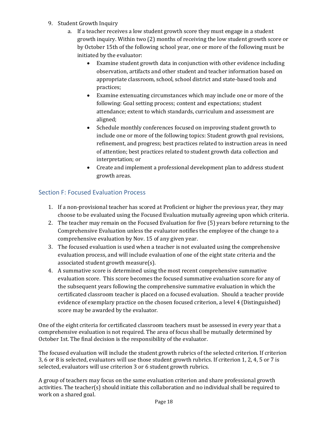- 9. Student Growth Inquiry
	- a. If a teacher receives a low student growth score they must engage in a student growth inquiry. Within two (2) months of receiving the low student growth score or by October 15th of the following school year, one or more of the following must be initiated by the evaluator:
		- Examine student growth data in conjunction with other evidence including observation, artifacts and other student and teacher information based on appropriate classroom, school, school district and state-based tools and practices;
		- Examine extenuating circumstances which may include one or more of the following: Goal setting process; content and expectations; student attendance; extent to which standards, curriculum and assessment are aligned;
		- Schedule monthly conferences focused on improving student growth to include one or more of the following topics: Student growth goal revisions, refinement, and progress; best practices related to instruction areas in need of attention; best practices related to student growth data collection and interpretation; or
		- Create and implement a professional development plan to address student growth areas.

# <span id="page-17-0"></span>Section F: Focused Evaluation Process

- 1. If a non-provisional teacher has scored at Proficient or higher the previous year, they may choose to be evaluated using the Focused Evaluation mutually agreeing upon which criteria.
- 2. The teacher may remain on the Focused Evaluation for five (5) years before returning to the Comprehensive Evaluation unless the evaluator notifies the employee of the change to a comprehensive evaluation by Nov. 15 of any given year.
- 3. The focused evaluation is used when a teacher is not evaluated using the comprehensive evaluation process, and will include evaluation of one of the eight state criteria and the associated student growth measure(s).
- 4. A summative score is determined using the most recent comprehensive summative evaluation score. This score becomes the focused summative evaluation score for any of the subsequent years following the comprehensive summative evaluation in which the certificated classroom teacher is placed on a focused evaluation. Should a teacher provide evidence of exemplary practice on the chosen focused criterion, a level 4 (Distinguished) score may be awarded by the evaluator.

One of the eight criteria for certificated classroom teachers must be assessed in every year that a comprehensive evaluation is not required. The area of focus shall be mutually determined by October 1st. The final decision is the responsibility of the evaluator.

The focused evaluation will include the student growth rubrics of the selected criterion. If criterion 3, 6 or 8 is selected, evaluators will use those student growth rubrics. If criterion 1, 2, 4, 5 or 7 is selected, evaluators will use criterion 3 or 6 student growth rubrics.

A group of teachers may focus on the same evaluation criterion and share professional growth activities. The teacher(s) should initiate this collaboration and no individual shall be required to work on a shared goal.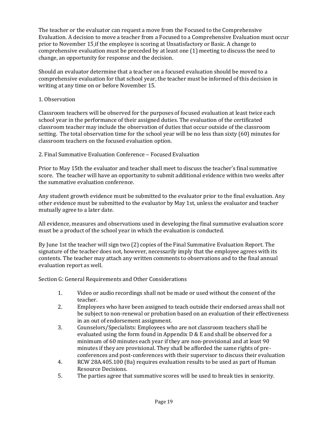The teacher or the evaluator can request a move from the Focused to the Comprehensive Evaluation. A decision to move a teacher from a Focused to a Comprehensive Evaluation must occur prior to November 15 if the employee is scoring at Unsatisfactory or Basic. A change to comprehensive evaluation must be preceded by at least one (1) meeting to discuss the need to change, an opportunity for response and the decision.

Should an evaluator determine that a teacher on a focused evaluation should be moved to a comprehensive evaluation for that school year, the teacher must be informed of this decision in writing at any time on or before November 15.

#### 1. Observation

Classroom teachers will be observed for the purposes of focused evaluation at least twice each school year in the performance of their assigned duties. The evaluation of the certificated classroom teacher may include the observation of duties that occur outside of the classroom setting. The total observation time for the school year will be no less than sixty (60) minutes for classroom teachers on the focused evaluation option.

#### 2. Final Summative Evaluation Conference – Focused Evaluation

Prior to May 15th the evaluator and teacher shall meet to discuss the teacher's final summative score. The teacher will have an opportunity to submit additional evidence within two weeks after the summative evaluation conference.

Any student growth evidence must be submitted to the evaluator prior to the final evaluation. Any other evidence must be submitted to the evaluator by May 1st, unless the evaluator and teacher mutually agree to a later date.

All evidence, measures and observations used in developing the final summative evaluation score must be a product of the school year in which the evaluation is conducted.

By June 1st the teacher will sign two (2) copies of the Final Summative Evaluation Report. The signature of the teacher does not, however, necessarily imply that the employee agrees with its contents. The teacher may attach any written comments to observations and to the final annual evaluation report as well.

Section G: General Requirements and Other Considerations

- 1. Video or audio recordings shall not be made or used without the consent of the teacher.
- 2. Employees who have been assigned to teach outside their endorsed areas shall not be subject to non-renewal or probation based on an evaluation of their effectiveness in an out of endorsement assignment.
- 3. Counselors/Specialists: Employees who are not classroom teachers shall be evaluated using the form found in Appendix D & E and shall be observed for a minimum of 60 minutes each year if they are non-provisional and at least 90 minutes if they are provisional. They shall be afforded the same rights of preconferences and post-conferences with their supervisor to discuss their evaluation
- 4. RCW 28A.405.100 (8a) requires evaluation results to be used as part of Human Resource Decisions.
- 5. The parties agree that summative scores will be used to break ties in seniority.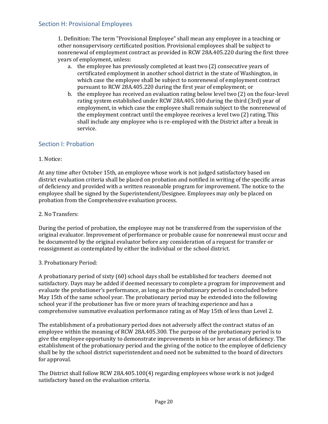<span id="page-19-0"></span>1. Definition: The term "Provisional Employee" shall mean any employee in a teaching or other nonsupervisory certificated position. Provisional employees shall be subject to nonrenewal of employment contract as provided in RCW 28A.405.220 during the first three years of employment, unless:

- a. the employee has previously completed at least two (2) consecutive years of certificated employment in another school district in the state of Washington, in which case the employee shall be subject to nonrenewal of employment contract pursuant to RCW 28A.405.220 during the first year of employment; or
- b. the employee has received an evaluation rating below level two (2) on the four-level rating system established under RCW 28A.405.100 during the third (3rd) year of employment, in which case the employee shall remain subject to the nonrenewal of the employment contract until the employee receives a level two (2) rating. This shall include any employee who is re-employed with the District after a break in service.

# <span id="page-19-1"></span>Section I: Probation

#### 1. Notice:

At any time after October 15th, an employee whose work is not judged satisfactory based on district evaluation criteria shall be placed on probation and notified in writing of the specific areas of deficiency and provided with a written reasonable program for improvement. The notice to the employee shall be signed by the Superintendent/Designee. Employees may only be placed on probation from the Comprehensive evaluation process.

#### 2. No Transfers:

During the period of probation, the employee may not be transferred from the supervision of the original evaluator. Improvement of performance or probable cause for nonrenewal must occur and be documented by the original evaluator before any consideration of a request for transfer or reassignment as contemplated by either the individual or the school district.

#### 3. Probationary Period:

A probationary period of sixty (60) school days shall be established for teachers deemed not satisfactory. Days may be added if deemed necessary to complete a program for improvement and evaluate the probationer's performance, as long as the probationary period is concluded before May 15th of the same school year. The probationary period may be extended into the following school year if the probationer has five or more years of teaching experience and has a comprehensive summative evaluation performance rating as of May 15th of less than Level 2.

The establishment of a probationary period does not adversely affect the contract status of an employee within the meaning of RCW 28A.405.300. The purpose of the probationary period is to give the employee opportunity to demonstrate improvements in his or her areas of deficiency. The establishment of the probationary period and the giving of the notice to the employee of deficiency shall be by the school district superintendent and need not be submitted to the board of directors for approval.

The District shall follow RCW 28A.405.100(4) regarding employees whose work is not judged satisfactory based on the evaluation criteria.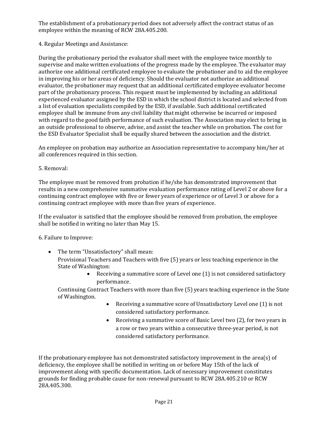The establishment of a probationary period does not adversely affect the contract status of an employee within the meaning of RCW 28A.405.200.

4. Regular Meetings and Assistance:

During the probationary period the evaluator shall meet with the employee twice monthly to supervise and make written evaluations of the progress made by the employee. The evaluator may authorize one additional certificated employee to evaluate the probationer and to aid the employee in improving his or her areas of deficiency. Should the evaluator not authorize an additional evaluator, the probationer may request that an additional certificated employee evaluator become part of the probationary process. This request must be implemented by including an additional experienced evaluator assigned by the ESD in which the school district is located and selected from a list of evaluation specialists compiled by the ESD, if available. Such additional certificated employee shall be immune from any civil liability that might otherwise be incurred or imposed with regard to the good faith performance of such evaluation. The Association may elect to bring in an outside professional to observe, advise, and assist the teacher while on probation. The cost for the ESD Evaluator Specialist shall be equally shared between the association and the district.

An employee on probation may authorize an Association representative to accompany him/her at all conferences required in this section.

#### 5. Removal:

The employee must be removed from probation if he/she has demonstrated improvement that results in a new comprehensive summative evaluation performance rating of Level 2 or above for a continuing contract employee with five or fewer years of experience or of Level 3 or above for a continuing contract employee with more than five years of experience.

If the evaluator is satisfied that the employee should be removed from probation, the employee shall be notified in writing no later than May 15.

6. Failure to Improve:

• The term "Unsatisfactory" shall mean:

Provisional Teachers and Teachers with five (5) years or less teaching experience in the State of Washington:

> • Receiving a summative score of Level one (1) is not considered satisfactory performance.

Continuing Contract Teachers with more than five (5) years teaching experience in the State of Washington.

- Receiving a summative score of Unsatisfactory Level one (1) is not considered satisfactory performance.
- Receiving a summative score of Basic Level two (2), for two years in a row or two years within a consecutive three-year period, is not considered satisfactory performance.

If the probationary employee has not demonstrated satisfactory improvement in the area(s) of deficiency, the employee shall be notified in writing on or before May 15th of the lack of improvement along with specific documentation. Lack of necessary improvement constitutes grounds for finding probable cause for non-renewal pursuant to RCW 28A.405.210 or RCW 28A.405.300.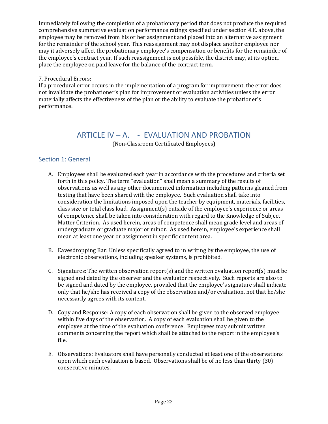Immediately following the completion of a probationary period that does not produce the required comprehensive summative evaluation performance ratings specified under section 4.E. above, the employee may be removed from his or her assignment and placed into an alternative assignment for the remainder of the school year. This reassignment may not displace another employee nor may it adversely affect the probationary employee's compensation or benefits for the remainder of the employee's contract year. If such reassignment is not possible, the district may, at its option, place the employee on paid leave for the balance of the contract term.

#### 7. Procedural Errors:

If a procedural error occurs in the implementation of a program for improvement, the error does not invalidate the probationer's plan for improvement or evaluation activities unless the error materially affects the effectiveness of the plan or the ability to evaluate the probationer's performance.

# ARTICLE IV – A. - EVALUATION AND PROBATION (Non-Classroom Certificated Employees)

# <span id="page-21-1"></span><span id="page-21-0"></span>Section 1: General

- A. Employees shall be evaluated each year in accordance with the procedures and criteria set forth in this policy. The term "evaluation" shall mean a summary of the results of observations as well as any other documented information including patterns gleaned from testing that have been shared with the employee. Such evaluation shall take into consideration the limitations imposed upon the teacher by equipment, materials, facilities, class size or total class load. Assignment(s) outside of the employee's experience or areas of competence shall be taken into consideration with regard to the Knowledge of Subject Matter Criterion. As used herein, areas of competence shall mean grade level and areas of undergraduate or graduate major or minor. As used herein, employee's experience shall mean at least one year or assignment in specific content area.
- B. Eavesdropping Bar: Unless specifically agreed to in writing by the employee, the use of electronic observations, including speaker systems, is prohibited.
- C. Signatures: The written observation report(s) and the written evaluation report(s) must be signed and dated by the observer and the evaluator respectively. Such reports are also to be signed and dated by the employee, provided that the employee's signature shall indicate only that he/she has received a copy of the observation and/or evaluation, not that he/she necessarily agrees with its content.
- D. Copy and Response: A copy of each observation shall be given to the observed employee within five days of the observation. A copy of each evaluation shall be given to the employee at the time of the evaluation conference. Employees may submit written comments concerning the report which shall be attached to the report in the employee's file.
- E. Observations: Evaluators shall have personally conducted at least one of the observations upon which each evaluation is based. Observations shall be of no less than thirty (30) consecutive minutes.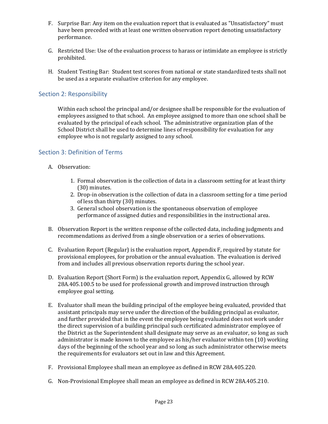- F. Surprise Bar: Any item on the evaluation report that is evaluated as "Unsatisfactory" must have been preceded with at least one written observation report denoting unsatisfactory performance.
- G. Restricted Use: Use of the evaluation process to harass or intimidate an employee is strictly prohibited.
- H. Student Testing Bar: Student test scores from national or state standardized tests shall not be used as a separate evaluative criterion for any employee.

# <span id="page-22-0"></span>Section 2: Responsibility

Within each school the principal and/or designee shall be responsible for the evaluation of employees assigned to that school. An employee assigned to more than one school shall be evaluated by the principal of each school. The administrative organization plan of the School District shall be used to determine lines of responsibility for evaluation for any employee who is not regularly assigned to any school.

# <span id="page-22-1"></span>Section 3: Definition of Terms

- A. Observation:
	- 1. Formal observation is the collection of data in a classroom setting for at least thirty (30) minutes.
	- 2. Drop-in observation is the collection of data in a classroom setting for a time period of less than thirty (30) minutes.
	- 3. General school observation is the spontaneous observation of employee performance of assigned duties and responsibilities in the instructional area.
- B. Observation Report is the written response of the collected data, including judgments and recommendations as derived from a single observation or a series of observations.
- C. Evaluation Report (Regular) is the evaluation report, Appendix F, required by statute for provisional employees, for probation or the annual evaluation. The evaluation is derived from and includes all previous observation reports during the school year.
- D. Evaluation Report (Short Form) is the evaluation report, Appendix G, allowed by RCW 28A.405.100.5 to be used for professional growth and improved instruction through employee goal setting.
- E. Evaluator shall mean the building principal of the employee being evaluated, provided that assistant principals may serve under the direction of the building principal as evaluator, and further provided that in the event the employee being evaluated does not work under the direct supervision of a building principal such certificated administrator employee of the District as the Superintendent shall designate may serve as an evaluator, so long as such administrator is made known to the employee as his/her evaluator within ten (10) working days of the beginning of the school year and so long as such administrator otherwise meets the requirements for evaluators set out in law and this Agreement.
- F. Provisional Employee shall mean an employee as defined in RCW 28A.405.220.
- G. Non-Provisional Employee shall mean an employee as defined in RCW 28A.405.210.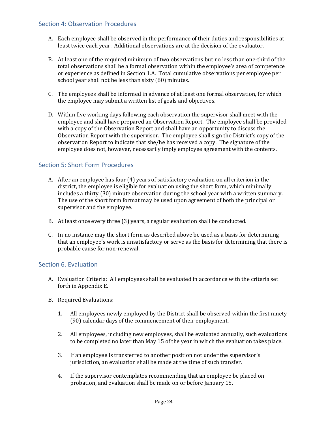# <span id="page-23-0"></span>Section 4: Observation Procedures

- A. Each employee shall be observed in the performance of their duties and responsibilities at least twice each year. Additional observations are at the decision of the evaluator.
- B. At least one of the required minimum of two observations but no less than one-third of the total observations shall be a formal observation within the employee's area of competence or experience as defined in Section 1.A. Total cumulative observations per employee per school year shall not be less than sixty (60) minutes.
- C. The employees shall be informed in advance of at least one formal observation, for which the employee may submit a written list of goals and objectives.
- D. Within five working days following each observation the supervisor shall meet with the employee and shall have prepared an Observation Report. The employee shall be provided with a copy of the Observation Report and shall have an opportunity to discuss the Observation Report with the supervisor. The employee shall sign the District's copy of the observation Report to indicate that she/he has received a copy. The signature of the employee does not, however, necessarily imply employee agreement with the contents.

# <span id="page-23-1"></span>Section 5: Short Form Procedures

- A. After an employee has four (4) years of satisfactory evaluation on all criterion in the district, the employee is eligible for evaluation using the short form, which minimally includes a thirty (30) minute observation during the school year with a written summary. The use of the short form format may be used upon agreement of both the principal or supervisor and the employee.
- B. At least once every three (3) years, a regular evaluation shall be conducted.
- C. In no instance may the short form as described above be used as a basis for determining that an employee's work is unsatisfactory or serve as the basis for determining that there is probable cause for non-renewal.

#### <span id="page-23-2"></span>Section 6. Evaluation

- A. Evaluation Criteria: All employees shall be evaluated in accordance with the criteria set forth in Appendix E.
- B. Required Evaluations:
	- 1. All employees newly employed by the District shall be observed within the first ninety (90) calendar days of the commencement of their employment.
	- 2. All employees, including new employees, shall be evaluated annually, such evaluations to be completed no later than May 15 of the year in which the evaluation takes place.
	- 3. If an employee is transferred to another position not under the supervisor's jurisdiction, an evaluation shall be made at the time of such transfer.
	- 4. If the supervisor contemplates recommending that an employee be placed on probation, and evaluation shall be made on or before January 15.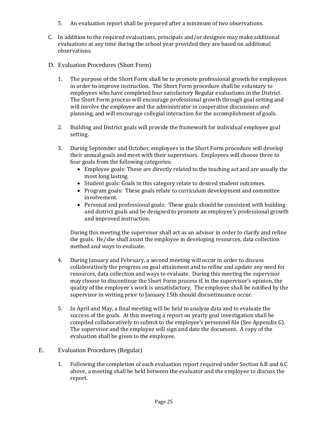- 5. An evaluation report shall be prepared after a minimum of two observations.
- C. In addition to the required evaluations, principals and/or designee may make additional evaluations at any time during the school year provided they are based on additional observations.
- D. Evaluation Procedures (Short Form)
	- 1. The purpose of the Short Form shall be to promote professional growth for employees in order to improve instruction. The Short Form procedure shall be voluntary to employees who have completed four satisfactory Regular evaluations in the District. The Short Form process will encourage professional growth through goal setting and will involve the employee and the administrator in cooperative discussions and planning, and will encourage collegial interaction for the accomplishment of goals.
	- 2. Building and District goals will provide the framework for individual employee goal setting.
	- 3. During September and October, employees in the Short Form procedure will develop their annual goals and meet with their supervisors. Employees will choose three to four goals from the following categories:
		- Employee goals: These are directly related to the teaching act and are usually the most long lasting.
		- Student goals: Goals in this category relate to desired student outcomes.
		- Program goals: These goals relate to curriculum development and committee involvement.
		- Personal and professional goals: These goals should be consistent with building and district goals and be designed to promote an employee's professional growth and improved instruction.

During this meeting the supervisor shall act as an advisor in order to clarify and refine the goals. He/she shall assist the employee in developing resources, data collection method and ways to evaluate.

- 4. During January and February, a second meeting will occur in order to discuss collaboratively the progress on goal attainment and to refine and update any need for resources, data collection and ways to evaluate. During this meeting the supervisor may choose to discontinue the Short Form process if, in the supervisor's opinion, the quality of the employee's work is unsatisfactory. The employee shall be notified by the supervisor in writing prior to January 15th should discontinuance occur.
- 5. In April and May, a final meeting will be held to analyze data and to evaluate the success of the goals. At this meeting a report on yearly goal investigation shall be compiled collaboratively to submit to the employee's personnel file (See Appendix G). The supervisor and the employee will sign and date the document. A copy of the evaluation shall be given to the employee.
- E. Evaluation Procedures (Regular)
	- 1. Following the completion of each evaluation report required under Section 6.B and 6.C above, a meeting shall be held between the evaluator and the employee to discuss the report.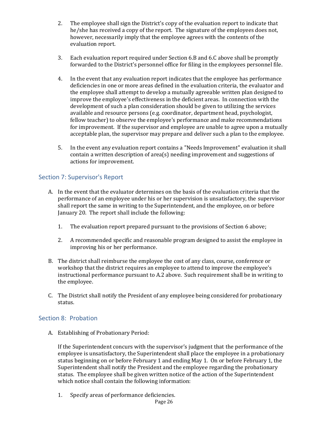- 2. The employee shall sign the District's copy of the evaluation report to indicate that he/she has received a copy of the report. The signature of the employees does not, however, necessarily imply that the employee agrees with the contents of the evaluation report.
- 3. Each evaluation report required under Section 6.B and 6.C above shall be promptly forwarded to the District's personnel office for filing in the employees personnel file.
- 4. In the event that any evaluation report indicates that the employee has performance deficiencies in one or more areas defined in the evaluation criteria, the evaluator and the employee shall attempt to develop a mutually agreeable written plan designed to improve the employee's effectiveness in the deficient areas. In connection with the development of such a plan consideration should be given to utilizing the services available and resource persons (e.g. coordinator, department head, psychologist, fellow teacher) to observe the employee's performance and make recommendations for improvement. If the supervisor and employee are unable to agree upon a mutually acceptable plan, the supervisor may prepare and deliver such a plan to the employee.
- 5. In the event any evaluation report contains a "Needs Improvement" evaluation it shall contain a written description of area(s) needing improvement and suggestions of actions for improvement.

# <span id="page-25-0"></span>Section 7: Supervisor's Report

- A. In the event that the evaluator determines on the basis of the evaluation criteria that the performance of an employee under his or her supervision is unsatisfactory, the supervisor shall report the same in writing to the Superintendent, and the employee, on or before January 20. The report shall include the following:
	- 1. The evaluation report prepared pursuant to the provisions of Section 6 above;
	- 2. A recommended specific and reasonable program designed to assist the employee in improving his or her performance.
- B. The district shall reimburse the employee the cost of any class, course, conference or workshop that the district requires an employee to attend to improve the employee's instructional performance pursuant to A.2 above. Such requirement shall be in writing to the employee.
- C. The District shall notify the President of any employee being considered for probationary status.

# <span id="page-25-1"></span>Section 8: Probation

A. Establishing of Probationary Period:

If the Superintendent concurs with the supervisor's judgment that the performance of the employee is unsatisfactory, the Superintendent shall place the employee in a probationary status beginning on or before February 1 and ending May 1. On or before February 1, the Superintendent shall notify the President and the employee regarding the probationary status. The employee shall be given written notice of the action of the Superintendent which notice shall contain the following information:

1. Specify areas of performance deficiencies.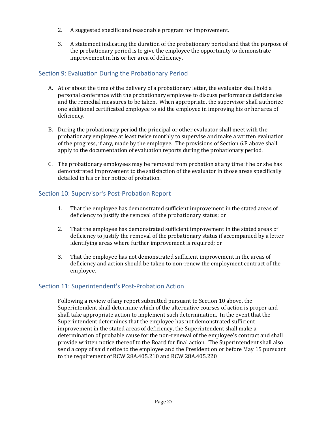- 2. A suggested specific and reasonable program for improvement.
- 3. A statement indicating the duration of the probationary period and that the purpose of the probationary period is to give the employee the opportunity to demonstrate improvement in his or her area of deficiency.

# <span id="page-26-0"></span>Section 9: Evaluation During the Probationary Period

- A. At or about the time of the delivery of a probationary letter, the evaluator shall hold a personal conference with the probationary employee to discuss performance deficiencies and the remedial measures to be taken. When appropriate, the supervisor shall authorize one additional certificated employee to aid the employee in improving his or her area of deficiency.
- B. During the probationary period the principal or other evaluator shall meet with the probationary employee at least twice monthly to supervise and make a written evaluation of the progress, if any, made by the employee. The provisions of Section 6.E above shall apply to the documentation of evaluation reports during the probationary period.
- C. The probationary employees may be removed from probation at any time if he or she has demonstrated improvement to the satisfaction of the evaluator in those areas specifically detailed in his or her notice of probation.

# <span id="page-26-1"></span>Section 10: Supervisor's Post-Probation Report

- 1. That the employee has demonstrated sufficient improvement in the stated areas of deficiency to justify the removal of the probationary status; or
- 2. That the employee has demonstrated sufficient improvement in the stated areas of deficiency to justify the removal of the probationary status if accompanied by a letter identifying areas where further improvement is required; or
- 3. That the employee has not demonstrated sufficient improvement in the areas of deficiency and action should be taken to non-renew the employment contract of the employee.

# <span id="page-26-2"></span>Section 11: Superintendent's Post-Probation Action

Following a review of any report submitted pursuant to Section 10 above, the Superintendent shall determine which of the alternative courses of action is proper and shall take appropriate action to implement such determination. In the event that the Superintendent determines that the employee has not demonstrated sufficient improvement in the stated areas of deficiency, the Superintendent shall make a determination of probable cause for the non-renewal of the employee's contract and shall provide written notice thereof to the Board for final action. The Superintendent shall also send a copy of said notice to the employee and the President on or before May 15 pursuant to the requirement of RCW 28A.405.210 and RCW 28A.405.220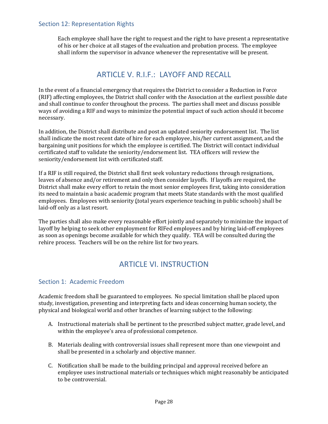<span id="page-27-0"></span>Each employee shall have the right to request and the right to have present a representative of his or her choice at all stages of the evaluation and probation process. The employee shall inform the supervisor in advance whenever the representative will be present.

# ARTICLE V. R.I.F.: LAYOFF AND RECALL

<span id="page-27-1"></span>In the event of a financial emergency that requires the District to consider a Reduction in Force (RIF) affecting employees, the District shall confer with the Association at the earliest possible date and shall continue to confer throughout the process. The parties shall meet and discuss possible ways of avoiding a RIF and ways to minimize the potential impact of such action should it become necessary.

In addition, the District shall distribute and post an updated seniority endorsement list. The list shall indicate the most recent date of hire for each employee, his/her current assignment, and the bargaining unit positions for which the employee is certified. The District will contact individual certificated staff to validate the seniority/endorsement list. TEA officers will review the seniority/endorsement list with certificated staff.

If a RIF is still required, the District shall first seek voluntary reductions through resignations, leaves of absence and/or retirement and only then consider layoffs. If layoffs are required, the District shall make every effort to retain the most senior employees first, taking into consideration its need to maintain a basic academic program that meets State standards with the most qualified employees. Employees with seniority (total years experience teaching in public schools) shall be laid-off only as a last resort.

The parties shall also make every reasonable effort jointly and separately to minimize the impact of layoff by helping to seek other employment for RIFed employees and by hiring laid-off employees as soon as openings become available for which they qualify. TEA will be consulted during the rehire process. Teachers will be on the rehire list for two years.

# ARTICLE VI. INSTRUCTION

#### <span id="page-27-3"></span><span id="page-27-2"></span>Section 1: Academic Freedom

Academic freedom shall be guaranteed to employees. No special limitation shall be placed upon study, investigation, presenting and interpreting facts and ideas concerning human society, the physical and biological world and other branches of learning subject to the following:

- A. Instructional materials shall be pertinent to the prescribed subject matter, grade level, and within the employee's area of professional competence.
- B. Materials dealing with controversial issues shall represent more than one viewpoint and shall be presented in a scholarly and objective manner.
- C. Notification shall be made to the building principal and approval received before an employee uses instructional materials or techniques which might reasonably be anticipated to be controversial.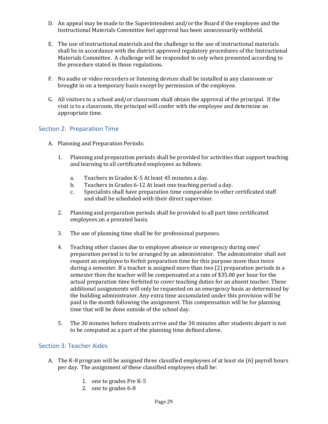- D. An appeal may be made to the Superintendent and/or the Board if the employee and the Instructional Materials Committee feel approval has been unnecessarily withheld.
- E. The use of instructional materials and the challenge to the use of instructional materials shall be in accordance with the district approved regulatory procedures of the Instructional Materials Committee. A challenge will be responded to only when presented according to the procedure stated in those regulations.
- F. No audio or video recorders or listening devices shall be installed in any classroom or brought in on a temporary basis except by permission of the employee.
- G. All visitors to a school and/or classroom shall obtain the approval of the principal. If the visit is to a classroom, the principal will confer with the employee and determine an appropriate time.

# <span id="page-28-0"></span>Section 2: Preparation Time

- A. Planning and Preparation Periods:
	- 1. Planning and preparation periods shall be provided for activities that support teaching and learning to all certificated employees as follows:
		- a. Teachers in Grades K-5 At least 45 minutes a day.
		- b. Teachers in Grades 6-12 At least one teaching period a day.
		- c. Specialists shall have preparation time comparable to other certificated staff and shall be scheduled with their direct supervisor.
	- 2. Planning and preparation periods shall be provided to all part time certificated employees on a prorated basis.
	- 3. The use of planning time shall be for professional purposes.
	- 4. Teaching other classes due to employee absence or emergency during ones' preparation period is to be arranged by an administrator. The administrator shall not request an employee to forfeit preparation time for this purpose more than twice during a semester. If a teacher is assigned more than two (2) preparation periods in a semester then the teacher will be compensated at a rate of \$35.00 per hour for the actual preparation time forfeited to cover teaching duties for an absent teacher. These additional assignments will only be requested on an emergency basis as determined by the building administrator. Any extra time accumulated under this provision will be paid in the month following the assignment. This compensation will be for planning time that will be done outside of the school day.
	- 5. The 30 minutes before students arrive and the 30 minutes after students depart is not to be computed as a part of the planning time defined above.

# <span id="page-28-1"></span>Section 3: Teacher Aides

- A. The K-8 program will be assigned three classified employees of at least six (6) payroll hours per day. The assignment of these classified employees shall be:
	- 1. one to grades Pre K-5
	- 2. one to grades 6-8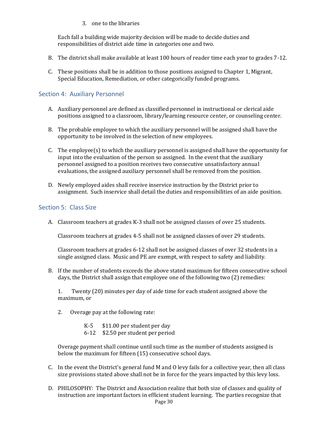3. one to the libraries

Each fall a building wide majority decision will be made to decide duties and responsibilities of district aide time in categories one and two.

- B. The district shall make available at least 100 hours of reader time each year to grades 7-12.
- C. These positions shall be in addition to those positions assigned to Chapter 1, Migrant, Special Education, Remediation, or other categorically funded programs.

### <span id="page-29-0"></span>Section 4: Auxiliary Personnel

- A. Auxiliary personnel are defined as classified personnel in instructional or clerical aide positions assigned to a classroom, library/learning resource center, or counseling center.
- B. The probable employee to which the auxiliary personnel will be assigned shall have the opportunity to be involved in the selection of new employees.
- C. The employee(s) to which the auxiliary personnel is assigned shall have the opportunity for input into the evaluation of the person so assigned. In the event that the auxiliary personnel assigned to a position receives two consecutive unsatisfactory annual evaluations, the assigned auxiliary personnel shall be removed from the position.
- D. Newly employed aides shall receive inservice instruction by the District prior to assignment. Such inservice shall detail the duties and responsibilities of an aide position.

#### <span id="page-29-1"></span>Section 5: Class Size

A. Classroom teachers at grades K-3 shall not be assigned classes of over 25 students.

Classroom teachers at grades 4-5 shall not be assigned classes of over 29 students.

Classroom teachers at grades 6-12 shall not be assigned classes of over 32 students in a single assigned class. Music and PE are exempt, with respect to safety and liability.

B. If the number of students exceeds the above stated maximum for fifteen consecutive school days, the District shall assign that employee one of the following two (2) remedies:

1. Twenty (20) minutes per day of aide time for each student assigned above the maximum, or

- 2. Overage pay at the following rate:
	- K-5 \$11.00 per student per day
	- 6-12 \$2.50 per student per period

Overage payment shall continue until such time as the number of students assigned is below the maximum for fifteen (15) consecutive school days.

- C. In the event the District's general fund M and O levy fails for a collective year, then all class size provisions stated above shall not be in force for the years impacted by this levy loss.
- D. PHILOSOPHY: The District and Association realize that both size of classes and quality of instruction are important factors in efficient student learning. The parties recognize that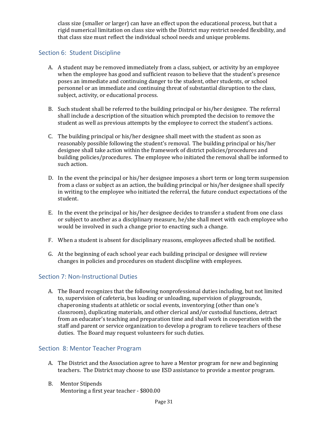class size (smaller or larger) can have an effect upon the educational process, but that a rigid numerical limitation on class size with the District may restrict needed flexibility, and that class size must reflect the individual school needs and unique problems.

# <span id="page-30-0"></span>Section 6: Student Discipline

- A. A student may be removed immediately from a class, subject, or activity by an employee when the employee has good and sufficient reason to believe that the student's presence poses an immediate and continuing danger to the student, other students, or school personnel or an immediate and continuing threat of substantial disruption to the class, subject, activity, or educational process.
- B. Such student shall be referred to the building principal or his/her designee. The referral shall include a description of the situation which prompted the decision to remove the student as well as previous attempts by the employee to correct the student's actions.
- C. The building principal or his/her designee shall meet with the student as soon as reasonably possible following the student's removal. The building principal or his/her designee shall take action within the framework of district policies/procedures and building policies/procedures. The employee who initiated the removal shall be informed to such action.
- D. In the event the principal or his/her designee imposes a short term or long term suspension from a class or subject as an action, the building principal or his/her designee shall specify in writing to the employee who initiated the referral, the future conduct expectations of the student.
- E. In the event the principal or his/her designee decides to transfer a student from one class or subject to another as a disciplinary measure, he/she shall meet with each employee who would be involved in such a change prior to enacting such a change.
- F. When a student is absent for disciplinary reasons, employees affected shall be notified.
- G. At the beginning of each school year each building principal or designee will review changes in policies and procedures on student discipline with employees.

# <span id="page-30-1"></span>Section 7: Non-Instructional Duties

A. The Board recognizes that the following nonprofessional duties including, but not limited to, supervision of cafeteria, bus loading or unloading, supervision of playgrounds, chaperoning students at athletic or social events, inventorying (other than one's classroom), duplicating materials, and other clerical and/or custodial functions, detract from an educator's teaching and preparation time and shall work in cooperation with the staff and parent or service organization to develop a program to relieve teachers of these duties. The Board may request volunteers for such duties.

# <span id="page-30-2"></span>Section 8: Mentor Teacher Program

- A. The District and the Association agree to have a Mentor program for new and beginning teachers. The District may choose to use ESD assistance to provide a mentor program.
- B. Mentor Stipends Mentoring a first year teacher - \$800.00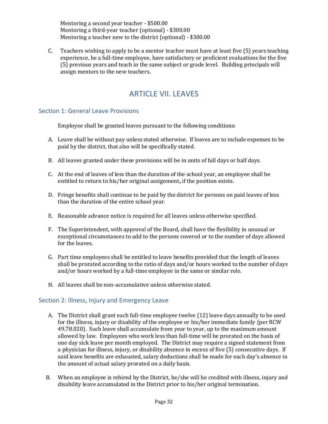Mentoring a second year teacher - \$500.00 Mentoring a third-year teacher (optional) - \$300.00 Mentoring a teacher new to the district (optional) - \$300.00

C. Teachers wishing to apply to be a mentor teacher must have at least five (5) years teaching experience, be a full-time employee, have satisfactory or proficient evaluations for the five (5) previous years and teach in the same subject or grade level. Building principals will assign mentors to the new teachers.

# ARTICLE VII. LEAVES

# <span id="page-31-1"></span><span id="page-31-0"></span>Section 1: General Leave Provisions

Employee shall be granted leaves pursuant to the following conditions:

- A. Leave shall be without pay unless stated otherwise. If leaves are to include expenses to be paid by the district, that also will be specifically stated.
- B. All leaves granted under these provisions will be in units of full days or half days.
- C. At the end of leaves of less than the duration of the school year, an employee shall be entitled to return to his/her original assignment**,** if the position exists.
- D. Fringe benefits shall continue to be paid by the district for persons on paid leaves of less than the duration of the entire school year.
- E. Reasonable advance notice is required for all leaves unless otherwise specified.
- F. The Superintendent, with approval of the Board, shall have the flexibility in unusual or exceptional circumstances to add to the persons covered or to the number of days allowed for the leaves.
- G. Part time employees shall be entitled to leave benefits provided that the length of leaves shall be prorated according to the ratio of days and/or hours worked to the number of days and/or hours worked by a full-time employee in the same or similar role.
- H. All leaves shall be non-accumulative unless otherwise stated.

#### <span id="page-31-2"></span>Section 2: Illness, Injury and Emergency Leave

- A. The District shall grant each full-time employee twelve (12) leave days annually to be used for the illness, injury or disability of the employee or his/her immediate family (per RCW 49.78.020). Such leave shall accumulate from year to year, up to the maximum amount allowed by law. Employees who work less than full-time will be prorated on the basis of one day sick leave per month employed. The District may require a signed statement from a physician for illness, injury, or disability absence in excess of five (5) consecutive days. If said leave benefits are exhausted, salary deductions shall be made for each day's absence in the amount of actual salary prorated on a daily basis.
- B. When an employee is rehired by the District, he/she will be credited with illness, injury and disability leave accumulated in the District prior to his/her original termination.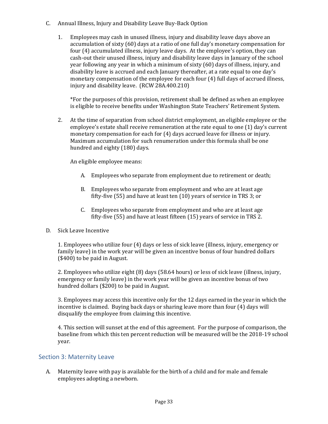- C. Annual Illness, Injury and Disability Leave Buy-Back Option
	- 1. Employees may cash in unused illness, injury and disability leave days above an accumulation of sixty (60) days at a ratio of one full day's monetary compensation for four (4) accumulated illness, injury leave days. At the employee's option, they can cash-out their unused illness, injury and disability leave days in January of the school year following any year in which a minimum of sixty (60) days of illness, injury, and disability leave is accrued and each January thereafter, at a rate equal to one day's monetary compensation of the employee for each four (4) full days of accrued illness, injury and disability leave. (RCW 28A.400.210)

\*For the purposes of this provision, retirement shall be defined as when an employee is eligible to receive benefits under Washington State Teachers' Retirement System.

2. At the time of separation from school district employment, an eligible employee or the employee's estate shall receive remuneration at the rate equal to one (1) day's current monetary compensation for each for (4) days accrued leave for illness or injury. Maximum accumulation for such renumeration under this formula shall be one hundred and eighty (180) days.

An eligible employee means:

- A. Employees who separate from employment due to retirement or death;
- B. Employees who separate from employment and who are at least age fifty-five (55) and have at least ten (10) years of service in TRS 3; or
- C. Employees who separate from employment and who are at least age fifty-five (55) and have at least fifteen (15) years of service in TRS 2.

#### D. Sick Leave Incentive

1. Employees who utilize four (4) days or less of sick leave (illness, injury, emergency or family leave) in the work year will be given an incentive bonus of four hundred dollars (\$400) to be paid in August.

2. Employees who utilize eight (8) days (58.64 hours) or less of sick leave (illness, injury, emergency or family leave) in the work year will be given an incentive bonus of two hundred dollars (\$200) to be paid in August.

3. Employees may access this incentive only for the 12 days earned in the year in which the incentive is claimed. Buying back days or sharing leave more than four (4) days will disqualify the employee from claiming this incentive.

4. This section will sunset at the end of this agreement. For the purpose of comparison, the baseline from which this ten percent reduction will be measured will be the 2018-19 school year.

# <span id="page-32-0"></span>Section 3: Maternity Leave

A. Maternity leave with pay is available for the birth of a child and for male and female employees adopting a newborn.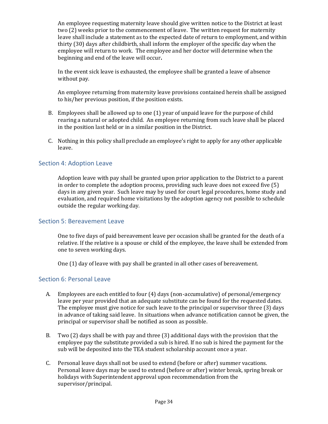An employee requesting maternity leave should give written notice to the District at least two (2) weeks prior to the commencement of leave. The written request for maternity leave shall include a statement as to the expected date of return to employment, and within thirty (30) days after childbirth, shall inform the employer of the specific day when the employee will return to work. The employee and her doctor will determine when the beginning and end of the leave will occur**.**

In the event sick leave is exhausted, the employee shall be granted a leave of absence without pay.

An employee returning from maternity leave provisions contained herein shall be assigned to his/her previous position, if the position exists.

- B. Employees shall be allowed up to one (1) year of unpaid leave for the purpose of child rearing a natural or adopted child. An employee returning from such leave shall be placed in the position last held or in a similar position in the District.
- C. Nothing in this policy shall preclude an employee's right to apply for any other applicable leave.

### <span id="page-33-0"></span>Section 4: Adoption Leave

Adoption leave with pay shall be granted upon prior application to the District to a parent in order to complete the adoption process, providing such leave does not exceed five (5) days in any given year. Such leave may by used for court legal procedures, home study and evaluation, and required home visitations by the adoption agency not possible to schedule outside the regular working day.

#### <span id="page-33-1"></span>Section 5: Bereavement Leave

One to five days of paid bereavement leave per occasion shall be granted for the death of a relative. If the relative is a spouse or child of the employee, the leave shall be extended from one to seven working days.

One (1) day of leave with pay shall be granted in all other cases of bereavement.

#### <span id="page-33-2"></span>Section 6: Personal Leave

- A. Employees are each entitled to four (4) days (non-accumulative) of personal/emergency leave per year provided that an adequate substitute can be found for the requested dates. The employee must give notice for such leave to the principal or supervisor three (3) days in advance of taking said leave. In situations when advance notification cannot be given, the principal or supervisor shall be notified as soon as possible.
- B. Two (2) days shall be with pay and three (3) additional days with the provision that the employee pay the substitute provided a sub is hired. If no sub is hired the payment for the sub will be deposited into the TEA student scholarship account once a year.
- C. Personal leave days shall not be used to extend (before or after) summer vacations. Personal leave days may be used to extend (before or after) winter break, spring break or holidays with Superintendent approval upon recommendation from the supervisor/principal.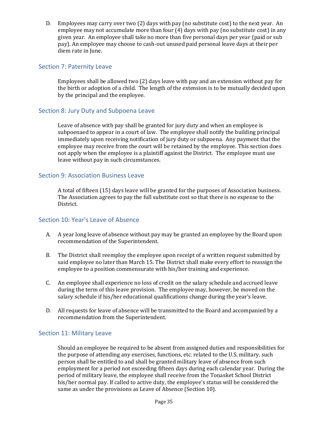D. Employees may carry over two (2) days with pay (no substitute cost) to the next year. An employee may not accumulate more than four (4) days with pay (no substitute cost) in any given year. An employee shall take no more than five personal days per year (paid or sub pay). An employee may choose to cash-out unused paid personal leave days at their per diem rate in June.

## <span id="page-34-0"></span>Section 7: Paternity Leave

Employees shall be allowed two (2) days leave with pay and an extension without pay for the birth or adoption of a child. The length of the extension is to be mutually decided upon by the principal and the employee.

# <span id="page-34-1"></span>Section 8: Jury Duty and Subpoena Leave

Leave of absence with pay shall be granted for jury duty and when an employee is subpoenaed to appear in a court of law. The employee shall notify the building principal immediately upon receiving notification of jury duty or subpoena. Any payment that the employee may receive from the court will be retained by the employee. This section does not apply when the employee is a plaintiff against the District. The employee must use leave without pay in such circumstances.

#### <span id="page-34-2"></span>Section 9: Association Business Leave

A total of fifteen (15) days leave will be granted for the purposes of Association business. The Association agrees to pay the full substitute cost so that there is no expense to the District.

#### <span id="page-34-3"></span>Section 10: Year's Leave of Absence

- A. A year long leave of absence without pay may be granted an employee by the Board upon recommendation of the Superintendent.
- B. The District shall reemploy the employee upon receipt of a written request submitted by said employee no later than March 15. The District shall make every effort to reassign the employee to a position commensurate with his/her training and experience.
- C. An employee shall experience no loss of credit on the salary schedule and accrued leave during the term of this leave provision. The employee may, however, be moved on the salary schedule if his/her educational qualifications change during the year's leave.
- D. All requests for leave of absence will be transmitted to the Board and accompanied by a recommendation from the Superintendent.

#### <span id="page-34-4"></span>Section 11: Military Leave

Should an employee be required to be absent from assigned duties and responsibilities for the purpose of attending any exercises, functions, etc. related to the U.S. military, such person shall be entitled to and shall be granted military leave of absence from such employment for a period not exceeding fifteen days during each calendar year. During the period of military leave, the employee shall receive from the Tonasket School District his/her normal pay. If called to active duty, the employee's status will be considered the same as under the provisions as Leave of Absence (Section 10).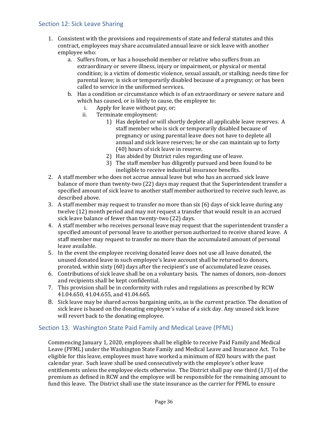## <span id="page-35-0"></span>Section 12: Sick Leave Sharing

- 1. Consistent with the provisions and requirements of state and federal statutes and this contract, employees may share accumulated annual leave or sick leave with another employee who:
	- a. Suffers from, or has a household member or relative who suffers from an extraordinary or severe illness, injury or impairment, or physical or mental condition; is a victim of domestic violence, sexual assault, or stalking; needs time for parental leave; is sick or temporarily disabled because of a pregnancy; or has been called to service in the uniformed services.
	- b. Has a condition or circumstance which is of an extraordinary or severe nature and which has caused, or is likely to cause, the employee to:
		- i. Apply for leave without pay, or;
		- ii. Terminate employment:
			- 1) Has depleted or will shortly deplete all applicable leave reserves. A staff member who is sick or temporarily disabled because of pregnancy or using parental leave does not have to deplete all annual and sick leave reserves; he or she can maintain up to forty (40) hours of sick leave in reserve.
			- 2) Has abided by District rules regarding use of leave.
			- 3) The staff member has diligently pursued and been found to be ineligible to receive industrial insurance benefits.
- 2. A staff member who does not accrue annual leave but who has an accrued sick leave balance of more than twenty-two (22) days may request that the Superintendent transfer a specified amount of sick leave to another staff member authorized to receive such leave, as described above.
- 3. A staff member may request to transfer no more than six (6) days of sick leave during any twelve (12) month period and may not request a transfer that would result in an accrued sick leave balance of fewer than twenty-two (22) days.
- 4. A staff member who receives personal leave may request that the superintendent transfer a specified amount of personal leave to another person authorized to receive shared leave. A staff member may request to transfer no more than the accumulated amount of personal leave available.
- 5. In the event the employee receiving donated leave does not use all leave donated, the unused donated leave in such employee's leave account shall be returned to donors, prorated, within sixty (60) days after the recipient's use of accumulated leave ceases.
- 6. Contributions of sick leave shall be on a voluntary basis. The names of donors, non-donors and recipients shall be kept confidential.
- 7. This provision shall be in conformity with rules and regulations as prescribed by RCW 41.04.650, 41.04.655, and 41.04.665.
- 8. Sick leave may be shared across bargaining units, as is the current practice. The donation of sick leave is based on the donating employee's value of a sick day. Any unused sick leave will revert back to the donating employee.

#### <span id="page-35-1"></span>Section 13. Washington State Paid Family and Medical Leave (PFML)

Commencing January 1, 2020, employees shall be eligible to receive Paid Family and Medical Leave (PFML) under the Washington State Family and Medical Leave and Insurance Act. To be eligible for this leave, employees must have worked a minimum of 820 hours with the past calendar year. Such leave shall be used consecutively with the employee's other leave entitlements unless the employee elects otherwise. The District shall pay one third (1/3) of the premium as defined in RCW and the employee will be responsible for the remaining amount to fund this leave. The District shall use the state insurance as the carrier for PFML to ensure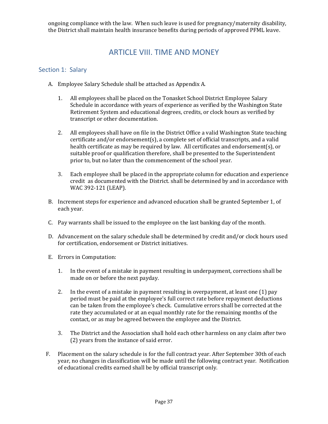<span id="page-36-0"></span>ongoing compliance with the law. When such leave is used for pregnancy/maternity disability, the District shall maintain health insurance benefits during periods of approved PFML leave.

# ARTICLE VIII. TIME AND MONEY

### <span id="page-36-1"></span>Section 1: Salary

- A. Employee Salary Schedule shall be attached as Appendix A.
	- 1. All employees shall be placed on the Tonasket School District Employee Salary Schedule in accordance with years of experience as verified by the Washington State Retirement System and educational degrees, credits, or clock hours as verified by transcript or other documentation.
	- 2. All employees shall have on file in the District Office a valid Washington State teaching certificate and/or endorsement(s), a complete set of official transcripts, and a valid health certificate as may be required by law. All certificates and endorsement(s), or suitable proof or qualification therefore, shall be presented to the Superintendent prior to, but no later than the commencement of the school year.
	- 3. Each employee shall be placed in the appropriate column for education and experience credit as documented with the District. shall be determined by and in accordance with WAC 392-121 (LEAP).
- B. Increment steps for experience and advanced education shall be granted September 1, of each year.
- C. Pay warrants shall be issued to the employee on the last banking day of the month.
- D. Advancement on the salary schedule shall be determined by credit and/or clock hours used for certification, endorsement or District initiatives.
- E. Errors in Computation:
	- 1. In the event of a mistake in payment resulting in underpayment, corrections shall be made on or before the next payday.
	- 2. In the event of a mistake in payment resulting in overpayment, at least one (1) pay period must be paid at the employee's full correct rate before repayment deductions can be taken from the employee's check. Cumulative errors shall be corrected at the rate they accumulated or at an equal monthly rate for the remaining months of the contact, or as may be agreed between the employee and the District.
	- 3. The District and the Association shall hold each other harmless on any claim after two (2) years from the instance of said error.
- F. Placement on the salary schedule is for the full contract year. After September 30th of each year, no changes in classification will be made until the following contract year. Notification of educational credits earned shall be by official transcript only.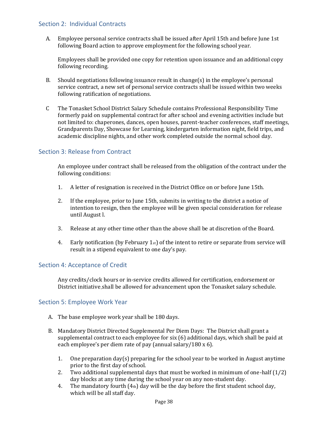# <span id="page-37-0"></span>Section 2: Individual Contracts

A. Employee personal service contracts shall be issued after April 15th and before June 1st following Board action to approve employment for the following school year.

Employees shall be provided one copy for retention upon issuance and an additional copy following recording.

- B. Should negotiations following issuance result in change(s) in the employee's personal service contract, a new set of personal service contracts shall be issued within two weeks following ratification of negotiations.
- C The Tonasket School District Salary Schedule contains Professional Responsibility Time formerly paid on supplemental contract for after school and evening activities include but not limited to: chaperones, dances, open houses, parent-teacher conferences, staff meetings, Grandparents Day, Showcase for Learning, kindergarten information night, field trips, and academic discipline nights, and other work completed outside the normal school day.

# <span id="page-37-1"></span>Section 3: Release from Contract

An employee under contract shall be released from the obligation of the contract under the following conditions:

- 1. A letter of resignation is received in the District Office on or before June 15th.
- 2. If the employee, prior to June 15th, submits in writing to the district a notice of intention to resign, then the employee will be given special consideration for release until August l.
- 3. Release at any other time other than the above shall be at discretion of the Board.
- 4. Early notification (by February 1st) of the intent to retire or separate from service will result in a stipend equivalent to one day's pay.

#### <span id="page-37-2"></span>Section 4: Acceptance of Credit

Any credits/clock hours or in-service credits allowed for certification, endorsement or District initiative shall be allowed for advancement upon the Tonasket salary schedule.

#### <span id="page-37-3"></span>Section 5: Employee Work Year

- A. The base employee work year shall be 180 days.
- B. Mandatory District Directed Supplemental Per Diem Days: The District shall grant a supplemental contract to each employee for six (6) additional days, which shall be paid at each employee's per diem rate of pay (annual salary/180 x 6).
	- 1. One preparation day(s) preparing for the school year to be worked in August anytime prior to the first day of school.
	- 2. Two additional supplemental days that must be worked in minimum of one-half (1/2) day blocks at any time during the school year on any non-student day.
	- 4. The mandatory fourth (4th) day will be the day before the first student school day, which will be all staff day.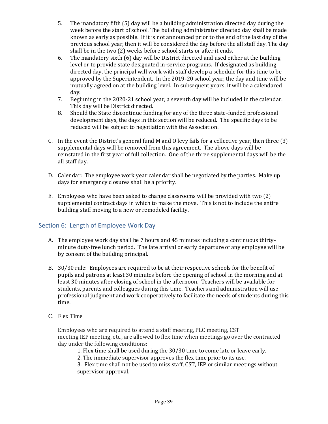- 5. The mandatory fifth (5) day will be a building administration directed day during the week before the start of school. The building administrator directed day shall be made known as early as possible. If it is not announced prior to the end of the last day of the previous school year, then it will be considered the day before the all staff day. The day shall be in the two (2) weeks before school starts or after it ends.
- 6. The mandatory sixth (6) day will be District directed and used either at the building level or to provide state designated in-service programs. If designated as building directed day, the principal will work with staff develop a schedule for this time to be approved by the Superintendent. In the 2019-20 school year, the day and time will be mutually agreed on at the building level. In subsequent years, it will be a calendared day.
- 7. Beginning in the 2020-21 school year, a seventh day will be included in the calendar. This day will be District directed.
- 8. Should the State discontinue funding for any of the three state-funded professional development days, the days in this section will be reduced. The specific days to be reduced will be subject to negotiation with the Association.
- C. In the event the District's general fund M and O levy fails for a collective year, then three (3) supplemental days will be removed from this agreement. The above days will be reinstated in the first year of full collection. One of the three supplemental days will be the all staff day.
- D. Calendar: The employee work year calendar shall be negotiated by the parties. Make up days for emergency closures shall be a priority.
- E. Employees who have been asked to change classrooms will be provided with two (2) supplemental contract days in which to make the move. This is not to include the entire building staff moving to a new or remodeled facility.

# <span id="page-38-0"></span>Section 6: Length of Employee Work Day

- A. The employee work day shall be 7 hours and 45 minutes including a continuous thirtyminute duty-free lunch period. The late arrival or early departure of any employee will be by consent of the building principal.
- B. 30/30 rule: Employees are required to be at their respective schools for the benefit of pupils and patrons at least 30 minutes before the opening of school in the morning and at least 30 minutes after closing of school in the afternoon. Teachers will be available for students, parents and colleagues during this time. Teachers and administration will use professional judgment and work cooperatively to facilitate the needs of students during this time.
- C. Flex Time

Employees who are required to attend a staff meeting, PLC meeting, CST meeting IEP meeting, etc., are allowed to flex time when meetings go over the contracted day under the following conditions:

- 1. Flex time shall be used during the 30/30 time to come late or leave early.
- 2. The immediate supervisor approves the flex time prior to its use.

3. Flex time shall not be used to miss staff, CST, IEP or similar meetings without supervisor approval.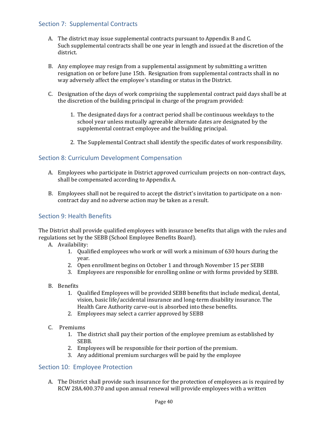# <span id="page-39-0"></span>Section 7: Supplemental Contracts

- A. The district may issue supplemental contracts pursuant to Appendix B and C. Such supplemental contracts shall be one year in length and issued at the discretion of the district.
- B. Any employee may resign from a supplemental assignment by submitting a written resignation on or before June 15th. Resignation from supplemental contracts shall in no way adversely affect the employee's standing or status in the District.
- C. Designation of the days of work comprising the supplemental contract paid days shall be at the discretion of the building principal in charge of the program provided:
	- 1. The designated days for a contract period shall be continuous weekdays to the school year unless mutually agreeable alternate dates are designated by the supplemental contract employee and the building principal.
	- 2. The Supplemental Contract shall identify the specific dates of work responsibility.

# <span id="page-39-1"></span>Section 8: Curriculum Development Compensation

- A. Employees who participate in District approved curriculum projects on non-contract days, shall be compensated according to Appendix A.
- B. Employees shall not be required to accept the district's invitation to participate on a noncontract day and no adverse action may be taken as a result.

# <span id="page-39-2"></span>Section 9: Health Benefits

The District shall provide qualified employees with insurance benefits that align with the rules and regulations set by the SEBB (School Employee Benefits Board).

- A. Availability:
	- 1. Qualified employees who work or will work a minimum of 630 hours during the year.
	- 2. Open enrollment begins on October 1 and through November 15 per SEBB
	- 3. Employees are responsible for enrolling online or with forms provided by SEBB.
- B. Benefits
	- 1. Qualified Employees will be provided SEBB benefits that include medical, dental, vision, basic life/accidental insurance and long-term disability insurance. The Health Care Authority carve-out is absorbed into these benefits.
	- 2. Employees may select a carrier approved by SEBB
- C. Premiums
	- 1. The district shall pay their portion of the employee premium as established by SEBB.
	- 2. Employees will be responsible for their portion of the premium.
	- 3. Any additional premium surcharges will be paid by the employee

#### <span id="page-39-3"></span>Section 10: Employee Protection

A. The District shall provide such insurance for the protection of employees as is required by RCW 28A.400.370 and upon annual renewal will provide employees with a written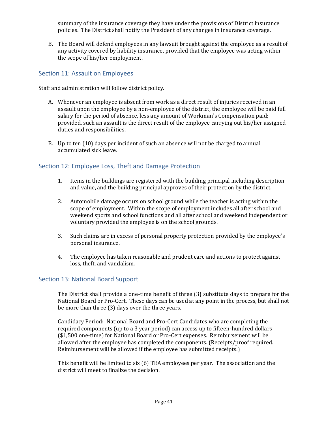summary of the insurance coverage they have under the provisions of District insurance policies. The District shall notify the President of any changes in insurance coverage.

B. The Board will defend employees in any lawsuit brought against the employee as a result of any activity covered by liability insurance, provided that the employee was acting within the scope of his/her employment.

# <span id="page-40-0"></span>Section 11: Assault on Employees

Staff and administration will follow district policy.

- A. Whenever an employee is absent from work as a direct result of injuries received in an assault upon the employee by a non-employee of the district, the employee will be paid full salary for the period of absence, less any amount of Workman's Compensation paid; provided, such an assault is the direct result of the employee carrying out his/her assigned duties and responsibilities.
- B. Up to ten (10) days per incident of such an absence will not be charged to annual accumulated sick leave.

# <span id="page-40-1"></span>Section 12: Employee Loss, Theft and Damage Protection

- 1. Items in the buildings are registered with the building principal including description and value, and the building principal approves of their protection by the district.
- 2. Automobile damage occurs on school ground while the teacher is acting within the scope of employment. Within the scope of employment includes all after school and weekend sports and school functions and all after school and weekend independent or voluntary provided the employee is on the school grounds.
- 3. Such claims are in excess of personal property protection provided by the employee's personal insurance.
- 4. The employee has taken reasonable and prudent care and actions to protect against loss, theft, and vandalism.

#### <span id="page-40-2"></span>Section 13: National Board Support

The District shall provide a one-time benefit of three (3) substitute days to prepare for the National Board or Pro-Cert. These days can be used at any point in the process, but shall not be more than three (3) days over the three years.

Candidacy Period: National Board and Pro-Cert Candidates who are completing the required components (up to a 3 year period) can access up to fifteen-hundred dollars (\$1,500 one-time) for National Board or Pro-Cert expenses. Reimbursement will be allowed after the employee has completed the components. (Receipts/proof required. Reimbursement will be allowed if the employee has submitted receipts.)

This benefit will be limited to six (6) TEA employees per year. The association and the district will meet to finalize the decision.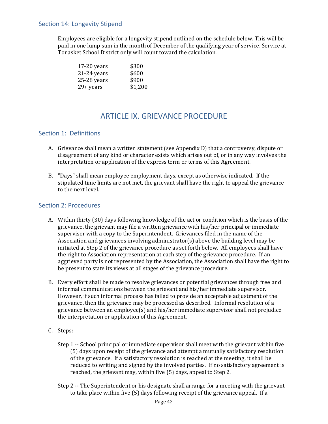## <span id="page-41-0"></span>Section 14: Longevity Stipend

Employees are eligible for a longevity stipend outlined on the schedule below. This will be paid in one lump sum in the month of December of the qualifying year of service. Service at Tonasket School District only will count toward the calculation.

| $17-20$ years | \$300   |
|---------------|---------|
| $21-24$ years | \$600   |
| $25-28$ years | \$900   |
| 29+ years     | \$1,200 |

# ARTICLE IX. GRIEVANCE PROCEDURE

### <span id="page-41-2"></span><span id="page-41-1"></span>Section 1: Definitions

- A. Grievance shall mean a written statement (see Appendix D) that a controversy, dispute or disagreement of any kind or character exists which arises out of, or in any way involves the interpretation or application of the express term or terms of this Agreement.
- B. "Days" shall mean employee employment days, except as otherwise indicated. If the stipulated time limits are not met, the grievant shall have the right to appeal the grievance to the next level.

#### <span id="page-41-3"></span>Section 2: Procedures

- A. Within thirty (30) days following knowledge of the act or condition which is the basis of the grievance, the grievant may file a written grievance with his/her principal or immediate supervisor with a copy to the Superintendent. Grievances filed in the name of the Association and grievances involving administrator(s) above the building level may be initiated at Step 2 of the grievance procedure as set forth below. All employees shall have the right to Association representation at each step of the grievance procedure. If an aggrieved party is not represented by the Association, the Association shall have the right to be present to state its views at all stages of the grievance procedure.
- B. Every effort shall be made to resolve grievances or potential grievances through free and informal communications between the grievant and his/her immediate supervisor. However, if such informal process has failed to provide an acceptable adjustment of the grievance, then the grievance may be processed as described. Informal resolution of a grievance between an employee(s) and his/her immediate supervisor shall not prejudice the interpretation or application of this Agreement.
- C. Steps:
	- Step 1 -- School principal or immediate supervisor shall meet with the grievant within five (5) days upon receipt of the grievance and attempt a mutually satisfactory resolution of the grievance. If a satisfactory resolution is reached at the meeting, it shall be reduced to writing and signed by the involved parties. If no satisfactory agreement is reached, the grievant may, within five (5) days, appeal to Step 2.
	- Step 2 -- The Superintendent or his designate shall arrange for a meeting with the grievant to take place within five (5) days following receipt of the grievance appeal. If a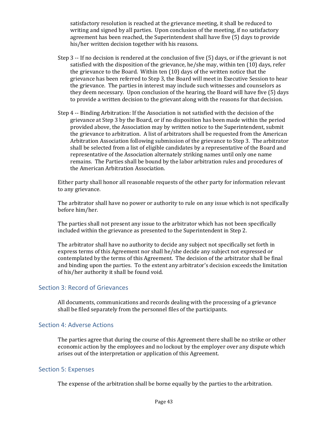satisfactory resolution is reached at the grievance meeting, it shall be reduced to writing and signed by all parties. Upon conclusion of the meeting, if no satisfactory agreement has been reached, the Superintendent shall have five (5) days to provide his/her written decision together with his reasons.

- Step 3 -- If no decision is rendered at the conclusion of five (5) days, or if the grievant is not satisfied with the disposition of the grievance, he/she may, within ten (10) days, refer the grievance to the Board. Within ten (10) days of the written notice that the grievance has been referred to Step 3, the Board will meet in Executive Session to hear the grievance. The parties in interest may include such witnesses and counselors as they deem necessary. Upon conclusion of the hearing, the Board will have five (5) days to provide a written decision to the grievant along with the reasons for that decision.
- Step 4 -- Binding Arbitration: If the Association is not satisfied with the decision of the grievance at Step 3 by the Board, or if no disposition has been made within the period provided above, the Association may by written notice to the Superintendent, submit the grievance to arbitration. A list of arbitrators shall be requested from the American Arbitration Association following submission of the grievance to Step 3. The arbitrator shall be selected from a list of eligible candidates by a representative of the Board and representative of the Association alternately striking names until only one name remains. The Parties shall be bound by the labor arbitration rules and procedures of the American Arbitration Association.

Either party shall honor all reasonable requests of the other party for information relevant to any grievance.

The arbitrator shall have no power or authority to rule on any issue which is not specifically before him/her.

The parties shall not present any issue to the arbitrator which has not been specifically included within the grievance as presented to the Superintendent in Step 2.

The arbitrator shall have no authority to decide any subject not specifically set forth in express terms of this Agreement nor shall he/she decide any subject not expressed or contemplated by the terms of this Agreement. The decision of the arbitrator shall be final and binding upon the parties. To the extent any arbitrator's decision exceeds the limitation of his/her authority it shall be found void.

#### <span id="page-42-0"></span>Section 3: Record of Grievances

All documents, communications and records dealing with the processing of a grievance shall be filed separately from the personnel files of the participants.

#### <span id="page-42-1"></span>Section 4: Adverse Actions

The parties agree that during the course of this Agreement there shall be no strike or other economic action by the employees and no lockout by the employer over any dispute which arises out of the interpretation or application of this Agreement.

#### <span id="page-42-2"></span>Section 5: Expenses

The expense of the arbitration shall be borne equally by the parties to the arbitration.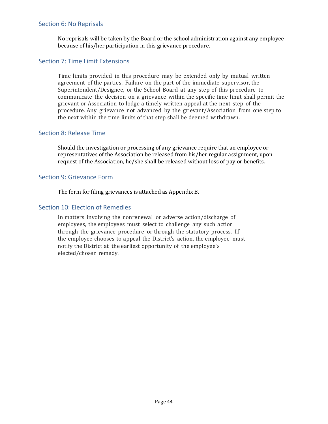#### <span id="page-43-0"></span>Section 6: No Reprisals

No reprisals will be taken by the Board or the school administration against any employee because of his/her participation in this grievance procedure.

#### <span id="page-43-1"></span>Section 7: Time Limit Extensions

Time limits provided in this procedure may be extended only by mutual written agreement of the parties. Failure on the part of the immediate supervisor, the Superintendent/Designee, or the School Board at any step of this procedure to communicate the decision on a grievance within the specific time limit shall permit the grievant or Association to lodge a timely written appeal at the next step of the procedure. Any grievance not advanced by the grievant/Association from one step to the next within the time limits of that step shall be deemed withdrawn.

#### <span id="page-43-2"></span>Section 8: Release Time

Should the investigation or processing of any grievance require that an employee or representatives of the Association be released from his/her regular assignment, upon request of the Association, he/she shall be released without loss of pay or benefits.

#### <span id="page-43-3"></span>Section 9: Grievance Form

The form for filing grievances is attached as Appendix B.

#### <span id="page-43-4"></span>Section 10: Election of Remedies

In matters involving the nonrenewal or adverse action/discharge of employees, the employees must select to challenge any such action through the grievance procedure or through the statutory process. If the employee chooses to appeal the District's action, the employee must notify the District at the earliest opportunity of the employee 's elected/chosen remedy.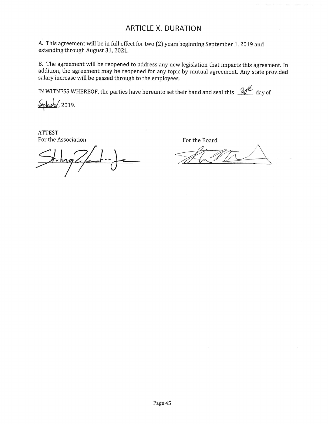# **ARTICLE X. DURATION**

A. This agreement will be in full effect for two (2) years beginning September 1, 2019 and extending through August 31, 2021.

B. The agreement will be reopened to address any new legislation that impacts this agreement. In addition, the agreement may be reopened for any topic by mutual agreement. Any state provided salary increase will be passed through to the employees.

IN WITNESS WHEREOF, the parties have hereunto set their hand and seal this  $\mathcal{W}^{\mu}$  day of

Sylews , 2019.

**ATTEST** For the Association

For the Board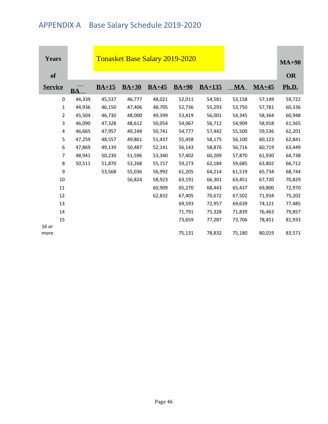# <span id="page-45-0"></span>APPENDIX A Base Salary Schedule 2019-2020

| <b>Years</b>    |           | <b>Tonasket Base Salary 2019-2020</b> |         |         |         |          |        |         | $MA+90$   |
|-----------------|-----------|---------------------------------------|---------|---------|---------|----------|--------|---------|-----------|
| <b>of</b>       |           |                                       |         |         |         |          |        |         | <b>OR</b> |
| <b>Service</b>  | <b>BA</b> | $BA+15$                               | $BA+30$ | $BA+45$ | $BA+90$ | $BA+135$ | MA     | $MA+45$ | Ph.D.     |
| 0               | 44,339    | 45,537                                | 46,777  | 48,021  | 52,011  | 54,581   | 53,158 | 57,149  | 59,722    |
| 1               | 44,936    | 46,150                                | 47,406  | 48,705  | 52,736  | 55,293   | 53,750 | 57,781  | 60,336    |
| 2               | 45,504    | 46,730                                | 48,000  | 49,399  | 53,419  | 56,001   | 54,345 | 58,364  | 60,948    |
| 3               | 46,090    | 47,328                                | 48,612  | 50,054  | 54,067  | 56,712   | 54,909 | 58,918  | 61,565    |
| 4               | 46,665    | 47,957                                | 49,248  | 50,741  | 54,777  | 57,442   | 55,500 | 59,536  | 62,201    |
| 5               | 47,259    | 48,557                                | 49,861  | 51,437  | 55,458  | 58,175   | 56,100 | 60,123  | 62,841    |
| 6               | 47,869    | 49,139                                | 50,487  | 52,141  | 56,143  | 58,876   | 56,716 | 60,719  | 63,449    |
| $\overline{7}$  | 48,941    | 50,230                                | 51,596  | 53,340  | 57,402  | 60,209   | 57,870 | 61,930  | 64,738    |
| 8               | 50,511    | 51,870                                | 53,268  | 55,157  | 59,273  | 62,184   | 59,685 | 63,802  | 66,712    |
| 9               |           | 53,568                                | 55,036  | 56,992  | 61,205  | 64,214   | 61,519 | 65,734  | 68,744    |
| 10              |           |                                       | 56,824  | 58,923  | 63,191  | 66,301   | 63,451 | 67,720  | 70,829    |
| 11              |           |                                       |         | 60,909  | 65,270  | 68,443   | 65,437 | 69,800  | 72,970    |
| 12              |           |                                       |         | 62,832  | 67,405  | 70,672   | 67,502 | 71,934  | 75,202    |
| 13              |           |                                       |         |         | 69,593  | 72,957   | 69,639 | 74,121  | 77,485    |
| 14              |           |                                       |         |         | 71,791  | 75,328   | 71,839 | 76,463  | 79,857    |
| 15              |           |                                       |         |         | 73,659  | 77,287   | 73,706 | 78,451  | 81,933    |
| $16$ or<br>more |           |                                       |         |         | 75,131  | 78,832   | 75,180 | 80,019  | 83,571    |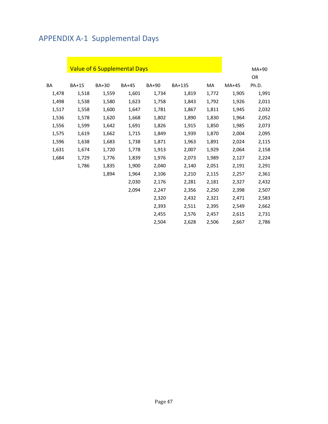# <span id="page-46-0"></span>APPENDIX A-1 Supplemental Days

|       |       | <b>Value of 6 Supplemental Days</b> |              |       |        |       |       | MA+90 |
|-------|-------|-------------------------------------|--------------|-------|--------|-------|-------|-------|
|       |       |                                     |              |       |        |       |       | OR    |
| BA    | BA+15 | BA+30                               | <b>BA+45</b> | BA+90 | BA+135 | MA    | MA+45 | Ph.D. |
| 1,478 | 1,518 | 1,559                               | 1,601        | 1,734 | 1,819  | 1,772 | 1,905 | 1,991 |
| 1,498 | 1,538 | 1,580                               | 1,623        | 1,758 | 1,843  | 1,792 | 1,926 | 2,011 |
| 1,517 | 1,558 | 1,600                               | 1,647        | 1,781 | 1,867  | 1,811 | 1,945 | 2,032 |
| 1,536 | 1,578 | 1,620                               | 1,668        | 1,802 | 1,890  | 1,830 | 1,964 | 2,052 |
| 1,556 | 1,599 | 1,642                               | 1,691        | 1,826 | 1,915  | 1,850 | 1,985 | 2,073 |
| 1,575 | 1,619 | 1,662                               | 1,715        | 1,849 | 1,939  | 1,870 | 2,004 | 2,095 |
| 1,596 | 1,638 | 1,683                               | 1,738        | 1,871 | 1,963  | 1,891 | 2,024 | 2,115 |
| 1,631 | 1,674 | 1,720                               | 1,778        | 1,913 | 2,007  | 1,929 | 2,064 | 2,158 |
| 1,684 | 1,729 | 1,776                               | 1,839        | 1,976 | 2,073  | 1,989 | 2,127 | 2,224 |
|       | 1,786 | 1,835                               | 1,900        | 2,040 | 2,140  | 2,051 | 2,191 | 2,291 |
|       |       | 1,894                               | 1,964        | 2,106 | 2,210  | 2,115 | 2,257 | 2,361 |
|       |       |                                     | 2,030        | 2,176 | 2,281  | 2,181 | 2,327 | 2,432 |
|       |       |                                     | 2,094        | 2,247 | 2,356  | 2,250 | 2,398 | 2,507 |
|       |       |                                     |              | 2,320 | 2,432  | 2,321 | 2,471 | 2,583 |
|       |       |                                     |              | 2,393 | 2,511  | 2,395 | 2,549 | 2,662 |
|       |       |                                     |              | 2,455 | 2,576  | 2,457 | 2,615 | 2,731 |
|       |       |                                     |              | 2,504 | 2,628  | 2,506 | 2,667 | 2,786 |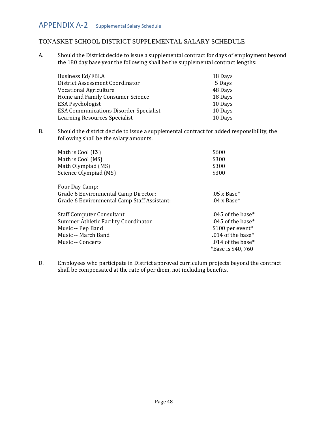# <span id="page-47-0"></span>TONASKET SCHOOL DISTRICT SUPPLEMENTAL SALARY SCHEDULE

A. Should the District decide to issue a supplemental contract for days of employment beyond the 180 day base year the following shall be the supplemental contract lengths:

| <b>Business Ed/FBLA</b>                       | 18 Days |
|-----------------------------------------------|---------|
| District Assessment Coordinator               | 5 Days  |
| <b>Vocational Agriculture</b>                 | 48 Days |
| Home and Family Consumer Science              | 18 Days |
| <b>ESA Psychologist</b>                       | 10 Days |
| <b>ESA Communications Disorder Specialist</b> | 10 Days |
| Learning Resources Specialist                 | 10 Days |

B. Should the district decide to issue a supplemental contract for added responsibility, the following shall be the salary amounts.

| Math is Cool (ES)                           | \$600                          |
|---------------------------------------------|--------------------------------|
| Math is Cool (MS)                           | \$300                          |
| Math Olympiad (MS)                          | \$300                          |
| Science Olympiad (MS)                       | \$300                          |
| Four Day Camp:                              |                                |
| Grade 6 Environmental Camp Director:        | $.05 \times Base*$             |
| Grade 6 Environmental Camp Staff Assistant: | $.04 \times$ Base <sup>*</sup> |
| <b>Staff Computer Consultant</b>            | .045 of the base*              |
| Summer Athletic Facility Coordinator        | .045 of the base*              |
| Music -- Pep Band                           | $$100$ per event <sup>*</sup>  |
| Music -- March Band                         | .014 of the base*              |
| Music -- Concerts                           | .014 of the base*              |
|                                             | *Base is \$40, 760             |

D. Employees who participate in District approved curriculum projects beyond the contract shall be compensated at the rate of per diem, not including benefits.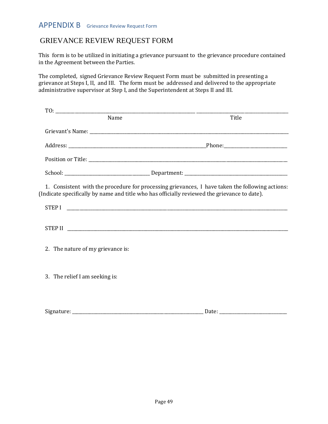# <span id="page-48-0"></span>APPENDIX B Grievance Review Request Form

# GRIEVANCE REVIEW REQUEST FORM

This form is to be utilized in initiating a grievance pursuant to the grievance procedure contained in the Agreement between the Parties.

The completed, signed Grievance Review Request Form must be submitted in presenting a grievance at Steps I, II, and III. The form must be addressed and delivered to the appropriate administrative supervisor at Step I, and the Superintendent at Steps II and III.

| Name                                                                                         | Title                                                                                           |
|----------------------------------------------------------------------------------------------|-------------------------------------------------------------------------------------------------|
|                                                                                              |                                                                                                 |
|                                                                                              |                                                                                                 |
|                                                                                              |                                                                                                 |
|                                                                                              |                                                                                                 |
| (Indicate specifically by name and title who has officially reviewed the grievance to date). | 1. Consistent with the procedure for processing grievances, I have taken the following actions: |
|                                                                                              |                                                                                                 |
|                                                                                              |                                                                                                 |
| 2. The nature of my grievance is:                                                            |                                                                                                 |
| 3. The relief I am seeking is:                                                               |                                                                                                 |
| Signature:                                                                                   | Date:                                                                                           |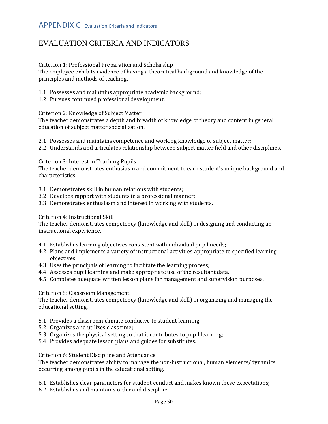# <span id="page-49-0"></span>EVALUATION CRITERIA AND INDICATORS

Criterion 1: Professional Preparation and Scholarship

The employee exhibits evidence of having a theoretical background and knowledge of the principles and methods of teaching.

1.1 Possesses and maintains appropriate academic background;

1.2 Pursues continued professional development.

Criterion 2: Knowledge of Subject Matter

The teacher demonstrates a depth and breadth of knowledge of theory and content in general education of subject matter specialization.

- 2.1 Possesses and maintains competence and working knowledge of subject matter;
- 2.2 Understands and articulates relationship between subject matter field and other disciplines.

Criterion 3: Interest in Teaching Pupils

The teacher demonstrates enthusiasm and commitment to each student's unique background and characteristics.

- 3.1 Demonstrates skill in human relations with students;
- 3.2 Develops rapport with students in a professional manner;
- 3.3 Demonstrates enthusiasm and interest in working with students.

Criterion 4: Instructional Skill

The teacher demonstrates competency (knowledge and skill) in designing and conducting an instructional experience.

- 4.1 Establishes learning objectives consistent with individual pupil needs;
- 4.2 Plans and implements a variety of instructional activities appropriate to specified learning objectives;
- 4.3 Uses the principals of learning to facilitate the learning process;
- 4.4 Assesses pupil learning and make appropriate use of the resultant data.
- 4.5 Completes adequate written lesson plans for management and supervision purposes.

#### Criterion 5: Classroom Management

The teacher demonstrates competency (knowledge and skill) in organizing and managing the educational setting.

- 5.1 Provides a classroom climate conducive to student learning;
- 5.2 Organizes and utilizes class time;
- 5.3 Organizes the physical setting so that it contributes to pupil learning;
- 5.4 Provides adequate lesson plans and guides for substitutes.

#### Criterion 6: Student Discipline and Attendance

The teacher demonstrates ability to manage the non-instructional, human elements/dynamics occurring among pupils in the educational setting.

- 6.1 Establishes clear parameters for student conduct and makes known these expectations;
- 6.2 Establishes and maintains order and discipline;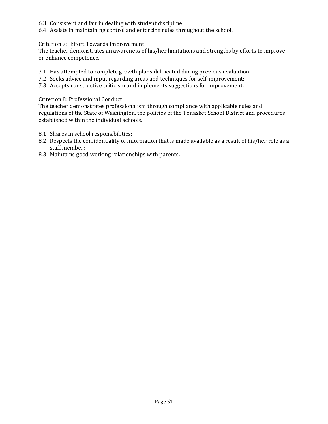- 6.3 Consistent and fair in dealing with student discipline;
- 6.4 Assists in maintaining control and enforcing rules throughout the school.

#### Criterion 7: Effort Towards Improvement

The teacher demonstrates an awareness of his/her limitations and strengths by efforts to improve or enhance competence.

- 7.1 Has attempted to complete growth plans delineated during previous evaluation;
- 7.2 Seeks advice and input regarding areas and techniques for self-improvement;
- 7.3 Accepts constructive criticism and implements suggestions for improvement.

#### Criterion 8: Professional Conduct

The teacher demonstrates professionalism through compliance with applicable rules and regulations of the State of Washington, the policies of the Tonasket School District and procedures established within the individual schools.

- 8.1 Shares in school responsibilities;
- 8.2 Respects the confidentiality of information that is made available as a result of his/her role as a staff member;
- 8.3 Maintains good working relationships with parents.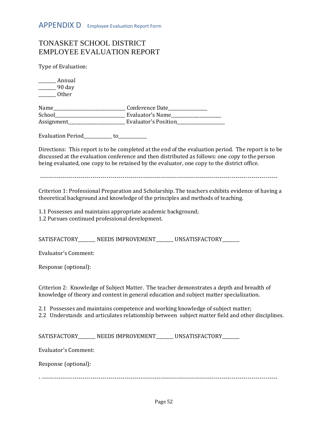# <span id="page-51-0"></span>TONASKET SCHOOL DISTRICT EMPLOYEE EVALUATION REPORT

Type of Evaluation:

\_\_\_\_\_\_\_\_ Annual \_\_\_\_\_\_\_\_ 90 day \_\_\_\_\_\_\_\_ Other

| Name       | Conference Date      |
|------------|----------------------|
| School     | Evaluator's Name     |
| Assignment | Evaluator's Position |

Evaluation Period to

Directions: This report is to be completed at the end of the evaluation period. The report is to be discussed at the evaluation conference and then distributed as follows: one copy to the person being evaluated, one copy to be retained by the evaluator, one copy to the district office.

----------------------------------------------------------------------------------------------------------------------

Criterion 1: Professional Preparation and Scholarship. The teachers exhibits evidence of having a theoretical background and knowledge of the principles and methods of teaching.

1.1 Possesses and maintains appropriate academic background; 1.2 Pursues continued professional development.

SATISFACTORY\_\_\_\_\_\_\_ NEEDS IMPROVEMENT\_\_\_\_\_\_ UNSATISFACTORY\_\_\_\_\_\_

Evaluator's Comment:

Response (optional):

Criterion 2: Knowledge of Subject Matter. The teacher demonstrates a depth and breadth of knowledge of theory and content in general education and subject matter specialization.

2.1 Possesses and maintains competence and working knowledge of subject matter;

2.2 Understands and articulates relationship between subject matter field and other disciplines.

SATISFACTORY\_\_\_\_\_\_\_ NEEDS IMPROVEMENT\_\_\_\_\_\_ UNSATISFACTORY\_\_\_\_\_\_

Evaluator's Comment:

Response (optional):

- ---------------------------------------------------------------------------------------------------------------------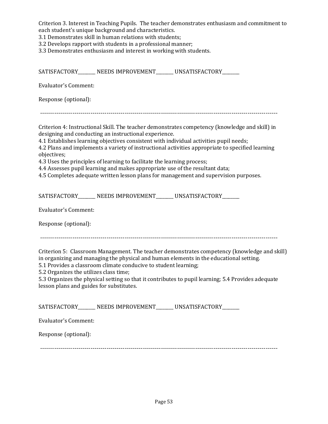Criterion 3. Interest in Teaching Pupils. The teacher demonstrates enthusiasm and commitment to each student's unique background and characteristics.

3.1 Demonstrates skill in human relations with students;

3.2 Develops rapport with students in a professional manner;

3.3 Demonstrates enthusiasm and interest in working with students.

SATISFACTORY \_\_\_\_\_\_ NEEDS IMPROVEMENT \_\_\_\_\_\_ UNSATISFACTORY Evaluator's Comment: Response (optional): ---------------------------------------------------------------------------------------------------------------------- Criterion 4: Instructional Skill. The teacher demonstrates competency (knowledge and skill) in designing and conducting an instructional experience. 4.1 Establishes learning objectives consistent with individual activities pupil needs; 4.2 Plans and implements a variety of instructional activities appropriate to specified learning objectives; 4.3 Uses the principles of learning to facilitate the learning process; 4.4 Assesses pupil learning and makes appropriate use of the resultant data; 4.5 Completes adequate written lesson plans for management and supervision purposes. SATISFACTORY\_\_\_\_\_\_\_ NEEDS IMPROVEMENT\_\_\_\_\_\_\_ UNSATISFACTORY\_\_\_\_\_\_ Evaluator's Comment: Response (optional): ---------------------------------------------------------------------------------------------------------------------- Criterion 5: Classroom Management. The teacher demonstrates competency (knowledge and skill) in organizing and managing the physical and human elements in the educational setting. 5.1 Provides a classroom climate conducive to student learning; 5.2 Organizes the utilizes class time; 5.3 Organizes the physical setting so that it contributes to pupil learning; 5.4 Provides adequate lesson plans and guides for substitutes. SATISFACTORY\_\_\_\_\_\_\_ NEEDS IMPROVEMENT\_\_\_\_\_\_ UNSATISFACTORY\_\_\_\_\_\_ Evaluator's Comment: Response (optional): ----------------------------------------------------------------------------------------------------------------------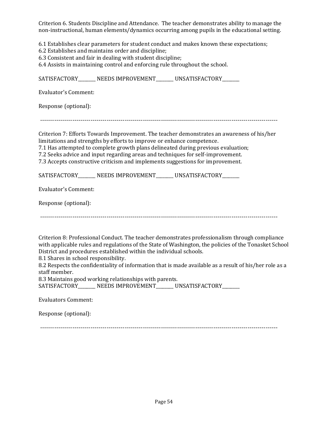Criterion 6. Students Discipline and Attendance. The teacher demonstrates ability to manage the non-instructional, human elements/dynamics occurring among pupils in the educational setting.

6.1 Establishes clear parameters for student conduct and makes known these expectations;

- 6.2 Establishes and maintains order and discipline;
- 6.3 Consistent and fair in dealing with student discipline;

6.4 Assists in maintaining control and enforcing rule throughout the school.

SATISFACTORY \_\_\_\_\_\_ NEEDS IMPROVEMENT \_\_\_\_\_\_ UNSATISFACTORY Evaluator's Comment: Response (optional): ---------------------------------------------------------------------------------------------------------------------- Criterion 7: Efforts Towards Improvement. The teacher demonstrates an awareness of his/her limitations and strengths by efforts to improve or enhance competence. 7.1 Has attempted to complete growth plans delineated during previous evaluation; 7.2 Seeks advice and input regarding areas and techniques for self-improvement. 7.3 Accepts constructive criticism and implements suggestions for improvement. SATISFACTORY\_\_\_\_\_\_\_ NEEDS IMPROVEMENT\_\_\_\_\_\_ UNSATISFACTORY\_\_\_\_\_\_ Evaluator's Comment: Response (optional): ---------------------------------------------------------------------------------------------------------------------- Criterion 8: Professional Conduct. The teacher demonstrates professionalism through compliance with applicable rules and regulations of the State of Washington, the policies of the Tonasket School District and procedures established within the individual schools. 8.1 Shares in school responsibility. 8.2 Respects the confidentiality of information that is made available as a result of his/her role as a staff member. 8.3 Maintains good working relationships with parents. SATISFACTORY\_\_\_\_\_\_\_\_ NEEDS IMPROVEMENT\_\_\_\_\_\_\_ UNSATISFACTORY\_\_\_\_\_\_\_ Evaluators Comment:

Response (optional):

 $-$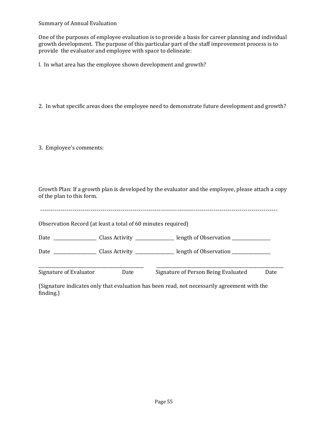Summary of Annual Evaluation

One of the purposes of employee evaluation is to provide a basis for career planning and individual growth development. The purpose of this particular part of the staff improvement process is to provide the evaluator and employee with space to delineate:

l. In what area has the employee shown development and growth?

2. In what specific areas does the employee need to demonstrate future development and growth?

3. Employee's comments:

Growth Plan: If a growth plan is developed by the evaluator and the employee, please attach a copy of the plan to this form.

| Observation Record (at least a total of 60 minutes required) |      |                                     |      |
|--------------------------------------------------------------|------|-------------------------------------|------|
|                                                              |      |                                     |      |
|                                                              |      |                                     |      |
| Signature of Evaluator                                       | Date | Signature of Person Being Evaluated | Date |

(Signature indicates only that evaluation has been read, not necessarily agreement with the finding.)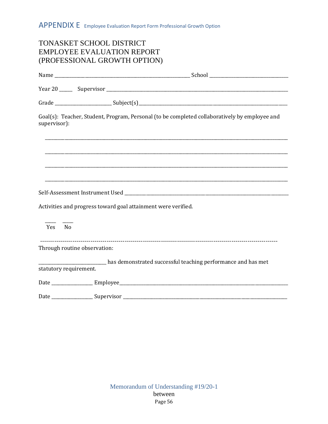<span id="page-55-0"></span>

| <b>TONASKET SCHOOL DISTRICT</b><br><b>EMPLOYEE EVALUATION REPORT</b><br>(PROFESSIONAL GROWTH OPTION)          |
|---------------------------------------------------------------------------------------------------------------|
|                                                                                                               |
|                                                                                                               |
|                                                                                                               |
| Goal(s): Teacher, Student, Program, Personal (to be completed collaboratively by employee and<br>supervisor): |
|                                                                                                               |
|                                                                                                               |
|                                                                                                               |
|                                                                                                               |
| Activities and progress toward goal attainment were verified.                                                 |
| Yes No                                                                                                        |
| Through routine observation:                                                                                  |
| has demonstrated successful teaching performance and has met<br>statutory requirement.                        |
|                                                                                                               |
|                                                                                                               |

<span id="page-55-1"></span>Page 56 Memorandum of Understanding #19/20-1 between